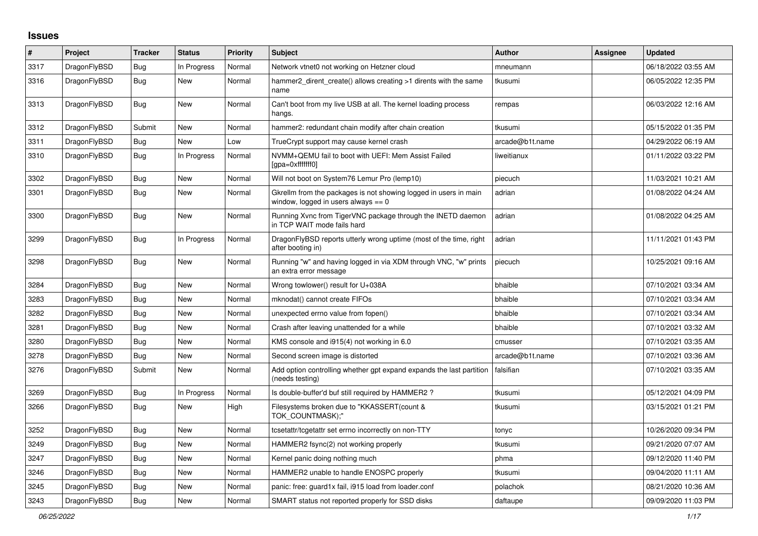## **Issues**

| #    | Project      | <b>Tracker</b> | <b>Status</b> | <b>Priority</b> | <b>Subject</b>                                                                                            | <b>Author</b>   | Assignee | <b>Updated</b>      |
|------|--------------|----------------|---------------|-----------------|-----------------------------------------------------------------------------------------------------------|-----------------|----------|---------------------|
| 3317 | DragonFlyBSD | Bug            | In Progress   | Normal          | Network vtnet0 not working on Hetzner cloud                                                               | mneumann        |          | 06/18/2022 03:55 AM |
| 3316 | DragonFlyBSD | Bug            | <b>New</b>    | Normal          | hammer2 dirent create() allows creating >1 dirents with the same<br>name                                  | tkusumi         |          | 06/05/2022 12:35 PM |
| 3313 | DragonFlyBSD | <b>Bug</b>     | New           | Normal          | Can't boot from my live USB at all. The kernel loading process<br>hangs.                                  | rempas          |          | 06/03/2022 12:16 AM |
| 3312 | DragonFlyBSD | Submit         | New           | Normal          | hammer2: redundant chain modify after chain creation                                                      | tkusumi         |          | 05/15/2022 01:35 PM |
| 3311 | DragonFlyBSD | Bug            | New           | Low             | TrueCrypt support may cause kernel crash                                                                  | arcade@b1t.name |          | 04/29/2022 06:19 AM |
| 3310 | DragonFlyBSD | Bug            | In Progress   | Normal          | NVMM+QEMU fail to boot with UEFI: Mem Assist Failed<br>[gpa=0xfffffff0]                                   | liweitianux     |          | 01/11/2022 03:22 PM |
| 3302 | DragonFlyBSD | <b>Bug</b>     | New           | Normal          | Will not boot on System76 Lemur Pro (lemp10)                                                              | piecuch         |          | 11/03/2021 10:21 AM |
| 3301 | DragonFlyBSD | Bug            | New           | Normal          | Gkrellm from the packages is not showing logged in users in main<br>window, logged in users always $== 0$ | adrian          |          | 01/08/2022 04:24 AM |
| 3300 | DragonFlyBSD | <b>Bug</b>     | <b>New</b>    | Normal          | Running Xvnc from TigerVNC package through the INETD daemon<br>in TCP WAIT mode fails hard                | adrian          |          | 01/08/2022 04:25 AM |
| 3299 | DragonFlyBSD | <b>Bug</b>     | In Progress   | Normal          | DragonFlyBSD reports utterly wrong uptime (most of the time, right<br>after booting in)                   | adrian          |          | 11/11/2021 01:43 PM |
| 3298 | DragonFlyBSD | <b>Bug</b>     | New           | Normal          | Running "w" and having logged in via XDM through VNC, "w" prints<br>an extra error message                | piecuch         |          | 10/25/2021 09:16 AM |
| 3284 | DragonFlyBSD | <b>Bug</b>     | New           | Normal          | Wrong towlower() result for U+038A                                                                        | bhaible         |          | 07/10/2021 03:34 AM |
| 3283 | DragonFlyBSD | Bug            | New           | Normal          | mknodat() cannot create FIFOs                                                                             | bhaible         |          | 07/10/2021 03:34 AM |
| 3282 | DragonFlyBSD | Bug            | New           | Normal          | unexpected errno value from fopen()                                                                       | bhaible         |          | 07/10/2021 03:34 AM |
| 3281 | DragonFlyBSD | Bug            | New           | Normal          | Crash after leaving unattended for a while                                                                | bhaible         |          | 07/10/2021 03:32 AM |
| 3280 | DragonFlyBSD | Bug            | <b>New</b>    | Normal          | KMS console and i915(4) not working in 6.0                                                                | cmusser         |          | 07/10/2021 03:35 AM |
| 3278 | DragonFlyBSD | Bug            | New           | Normal          | Second screen image is distorted                                                                          | arcade@b1t.name |          | 07/10/2021 03:36 AM |
| 3276 | DragonFlyBSD | Submit         | New           | Normal          | Add option controlling whether gpt expand expands the last partition<br>(needs testing)                   | falsifian       |          | 07/10/2021 03:35 AM |
| 3269 | DragonFlyBSD | Bug            | In Progress   | Normal          | Is double-buffer'd buf still required by HAMMER2?                                                         | tkusumi         |          | 05/12/2021 04:09 PM |
| 3266 | DragonFlyBSD | Bug            | New           | High            | Filesystems broken due to "KKASSERT(count &<br>TOK COUNTMASK);"                                           | tkusumi         |          | 03/15/2021 01:21 PM |
| 3252 | DragonFlyBSD | Bug            | New           | Normal          | tcsetattr/tcgetattr set errno incorrectly on non-TTY                                                      | tonyc           |          | 10/26/2020 09:34 PM |
| 3249 | DragonFlyBSD | <b>Bug</b>     | <b>New</b>    | Normal          | HAMMER2 fsync(2) not working properly                                                                     | tkusumi         |          | 09/21/2020 07:07 AM |
| 3247 | DragonFlyBSD | <b>Bug</b>     | New           | Normal          | Kernel panic doing nothing much                                                                           | phma            |          | 09/12/2020 11:40 PM |
| 3246 | DragonFlyBSD | Bug            | New           | Normal          | HAMMER2 unable to handle ENOSPC properly                                                                  | tkusumi         |          | 09/04/2020 11:11 AM |
| 3245 | DragonFlyBSD | Bug            | <b>New</b>    | Normal          | panic: free: guard1x fail, i915 load from loader.conf                                                     | polachok        |          | 08/21/2020 10:36 AM |
| 3243 | DragonFlyBSD | <b>Bug</b>     | New           | Normal          | SMART status not reported properly for SSD disks                                                          | daftaupe        |          | 09/09/2020 11:03 PM |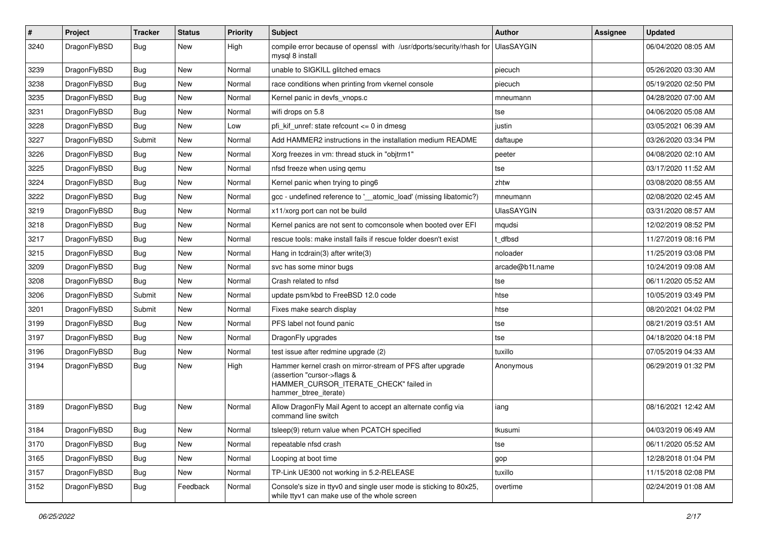| $\vert$ # | Project      | <b>Tracker</b> | <b>Status</b> | <b>Priority</b> | Subject                                                                                                                                                     | <b>Author</b>     | <b>Assignee</b> | <b>Updated</b>      |
|-----------|--------------|----------------|---------------|-----------------|-------------------------------------------------------------------------------------------------------------------------------------------------------------|-------------------|-----------------|---------------------|
| 3240      | DragonFlyBSD | Bug            | New           | High            | compile error because of openssl with /usr/dports/security/rhash for<br>mysql 8 install                                                                     | UlasSAYGIN        |                 | 06/04/2020 08:05 AM |
| 3239      | DragonFlyBSD | Bug            | <b>New</b>    | Normal          | unable to SIGKILL glitched emacs                                                                                                                            | piecuch           |                 | 05/26/2020 03:30 AM |
| 3238      | DragonFlyBSD | Bug            | <b>New</b>    | Normal          | race conditions when printing from vkernel console                                                                                                          | piecuch           |                 | 05/19/2020 02:50 PM |
| 3235      | DragonFlyBSD | <b>Bug</b>     | <b>New</b>    | Normal          | Kernel panic in devfs_vnops.c                                                                                                                               | mneumann          |                 | 04/28/2020 07:00 AM |
| 3231      | DragonFlyBSD | <b>Bug</b>     | New           | Normal          | wifi drops on 5.8                                                                                                                                           | tse               |                 | 04/06/2020 05:08 AM |
| 3228      | DragonFlyBSD | Bug            | <b>New</b>    | Low             | pfi kif unref: state refcount $\leq$ 0 in dmesg                                                                                                             | justin            |                 | 03/05/2021 06:39 AM |
| 3227      | DragonFlyBSD | Submit         | New           | Normal          | Add HAMMER2 instructions in the installation medium README                                                                                                  | daftaupe          |                 | 03/26/2020 03:34 PM |
| 3226      | DragonFlyBSD | Bug            | <b>New</b>    | Normal          | Xorg freezes in vm: thread stuck in "objtrm1"                                                                                                               | peeter            |                 | 04/08/2020 02:10 AM |
| 3225      | DragonFlyBSD | Bug            | <b>New</b>    | Normal          | nfsd freeze when using gemu                                                                                                                                 | tse               |                 | 03/17/2020 11:52 AM |
| 3224      | DragonFlyBSD | <b>Bug</b>     | <b>New</b>    | Normal          | Kernel panic when trying to ping6                                                                                                                           | zhtw              |                 | 03/08/2020 08:55 AM |
| 3222      | DragonFlyBSD | Bug            | <b>New</b>    | Normal          | gcc - undefined reference to '__atomic_load' (missing libatomic?)                                                                                           | mneumann          |                 | 02/08/2020 02:45 AM |
| 3219      | DragonFlyBSD | <b>Bug</b>     | New           | Normal          | x11/xorg port can not be build                                                                                                                              | <b>UlasSAYGIN</b> |                 | 03/31/2020 08:57 AM |
| 3218      | DragonFlyBSD | Bug            | New           | Normal          | Kernel panics are not sent to comconsole when booted over EFI                                                                                               | mqudsi            |                 | 12/02/2019 08:52 PM |
| 3217      | DragonFlyBSD | <b>Bug</b>     | <b>New</b>    | Normal          | rescue tools: make install fails if rescue folder doesn't exist                                                                                             | t dfbsd           |                 | 11/27/2019 08:16 PM |
| 3215      | DragonFlyBSD | <b>Bug</b>     | New           | Normal          | Hang in tcdrain(3) after write(3)                                                                                                                           | noloader          |                 | 11/25/2019 03:08 PM |
| 3209      | DragonFlyBSD | Bug            | New           | Normal          | svc has some minor bugs                                                                                                                                     | arcade@b1t.name   |                 | 10/24/2019 09:08 AM |
| 3208      | DragonFlyBSD | Bug            | <b>New</b>    | Normal          | Crash related to nfsd                                                                                                                                       | tse               |                 | 06/11/2020 05:52 AM |
| 3206      | DragonFlyBSD | Submit         | New           | Normal          | update psm/kbd to FreeBSD 12.0 code                                                                                                                         | htse              |                 | 10/05/2019 03:49 PM |
| 3201      | DragonFlyBSD | Submit         | <b>New</b>    | Normal          | Fixes make search display                                                                                                                                   | htse              |                 | 08/20/2021 04:02 PM |
| 3199      | DragonFlyBSD | <b>Bug</b>     | New           | Normal          | PFS label not found panic                                                                                                                                   | tse               |                 | 08/21/2019 03:51 AM |
| 3197      | DragonFlyBSD | Bug            | <b>New</b>    | Normal          | DragonFly upgrades                                                                                                                                          | tse               |                 | 04/18/2020 04:18 PM |
| 3196      | DragonFlyBSD | <b>Bug</b>     | <b>New</b>    | Normal          | test issue after redmine upgrade (2)                                                                                                                        | tuxillo           |                 | 07/05/2019 04:33 AM |
| 3194      | DragonFlyBSD | <b>Bug</b>     | New           | High            | Hammer kernel crash on mirror-stream of PFS after upgrade<br>(assertion "cursor->flags &<br>HAMMER_CURSOR_ITERATE_CHECK" failed in<br>hammer_btree_iterate) | Anonymous         |                 | 06/29/2019 01:32 PM |
| 3189      | DragonFlyBSD | Bug            | <b>New</b>    | Normal          | Allow DragonFly Mail Agent to accept an alternate config via<br>command line switch                                                                         | iang              |                 | 08/16/2021 12:42 AM |
| 3184      | DragonFlyBSD | Bug            | New           | Normal          | tsleep(9) return value when PCATCH specified                                                                                                                | tkusumi           |                 | 04/03/2019 06:49 AM |
| 3170      | DragonFlyBSD | Bug            | New           | Normal          | repeatable nfsd crash                                                                                                                                       | tse               |                 | 06/11/2020 05:52 AM |
| 3165      | DragonFlyBSD | Bug            | New           | Normal          | Looping at boot time                                                                                                                                        | gop               |                 | 12/28/2018 01:04 PM |
| 3157      | DragonFlyBSD | <b>Bug</b>     | New           | Normal          | TP-Link UE300 not working in 5.2-RELEASE                                                                                                                    | tuxillo           |                 | 11/15/2018 02:08 PM |
| 3152      | DragonFlyBSD | <b>Bug</b>     | Feedback      | Normal          | Console's size in ttyv0 and single user mode is sticking to 80x25,<br>while ttyv1 can make use of the whole screen                                          | overtime          |                 | 02/24/2019 01:08 AM |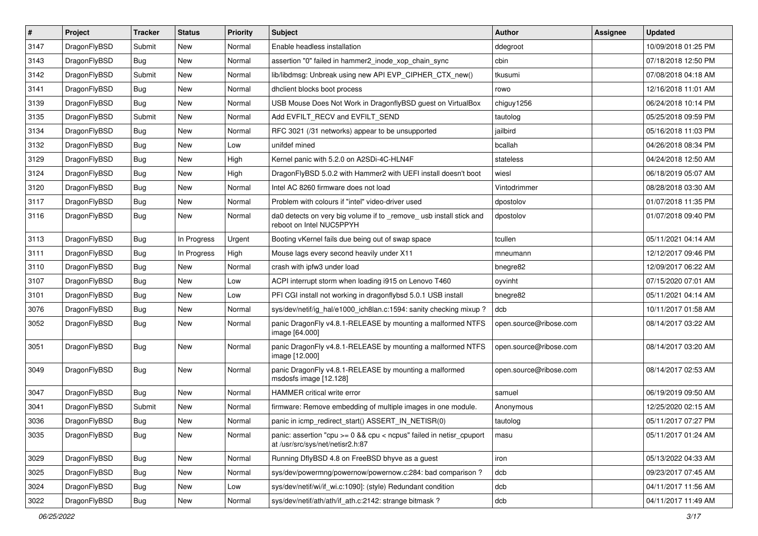| $\sharp$ | Project      | <b>Tracker</b> | <b>Status</b> | <b>Priority</b> | <b>Subject</b>                                                                                          | Author                 | <b>Assignee</b> | <b>Updated</b>      |
|----------|--------------|----------------|---------------|-----------------|---------------------------------------------------------------------------------------------------------|------------------------|-----------------|---------------------|
| 3147     | DragonFlyBSD | Submit         | New           | Normal          | Enable headless installation                                                                            | ddegroot               |                 | 10/09/2018 01:25 PM |
| 3143     | DragonFlyBSD | Bug            | <b>New</b>    | Normal          | assertion "0" failed in hammer2_inode_xop_chain_sync                                                    | cbin                   |                 | 07/18/2018 12:50 PM |
| 3142     | DragonFlyBSD | Submit         | New           | Normal          | lib/libdmsg: Unbreak using new API EVP_CIPHER_CTX_new()                                                 | tkusumi                |                 | 07/08/2018 04:18 AM |
| 3141     | DragonFlyBSD | Bug            | New           | Normal          | dhclient blocks boot process                                                                            | rowo                   |                 | 12/16/2018 11:01 AM |
| 3139     | DragonFlyBSD | Bug            | <b>New</b>    | Normal          | USB Mouse Does Not Work in DragonflyBSD guest on VirtualBox                                             | chiguy1256             |                 | 06/24/2018 10:14 PM |
| 3135     | DragonFlyBSD | Submit         | New           | Normal          | Add EVFILT_RECV and EVFILT_SEND                                                                         | tautolog               |                 | 05/25/2018 09:59 PM |
| 3134     | DragonFlyBSD | Bug            | New           | Normal          | RFC 3021 (/31 networks) appear to be unsupported                                                        | jailbird               |                 | 05/16/2018 11:03 PM |
| 3132     | DragonFlyBSD | Bug            | <b>New</b>    | Low             | unifdef mined                                                                                           | bcallah                |                 | 04/26/2018 08:34 PM |
| 3129     | DragonFlyBSD | Bug            | New           | High            | Kernel panic with 5.2.0 on A2SDi-4C-HLN4F                                                               | stateless              |                 | 04/24/2018 12:50 AM |
| 3124     | DragonFlyBSD | Bug            | <b>New</b>    | High            | DragonFlyBSD 5.0.2 with Hammer2 with UEFI install doesn't boot                                          | wiesl                  |                 | 06/18/2019 05:07 AM |
| 3120     | DragonFlyBSD | Bug            | New           | Normal          | Intel AC 8260 firmware does not load                                                                    | Vintodrimmer           |                 | 08/28/2018 03:30 AM |
| 3117     | DragonFlyBSD | Bug            | <b>New</b>    | Normal          | Problem with colours if "intel" video-driver used                                                       | dpostolov              |                 | 01/07/2018 11:35 PM |
| 3116     | DragonFlyBSD | Bug            | New           | Normal          | da0 detects on very big volume if to _remove_usb install stick and<br>reboot on Intel NUC5PPYH          | dpostolov              |                 | 01/07/2018 09:40 PM |
| 3113     | DragonFlyBSD | Bug            | In Progress   | Urgent          | Booting vKernel fails due being out of swap space                                                       | tcullen                |                 | 05/11/2021 04:14 AM |
| 3111     | DragonFlyBSD | Bug            | In Progress   | High            | Mouse lags every second heavily under X11                                                               | mneumann               |                 | 12/12/2017 09:46 PM |
| 3110     | DragonFlyBSD | Bug            | <b>New</b>    | Normal          | crash with ipfw3 under load                                                                             | bnegre82               |                 | 12/09/2017 06:22 AM |
| 3107     | DragonFlyBSD | Bug            | New           | Low             | ACPI interrupt storm when loading i915 on Lenovo T460                                                   | oyvinht                |                 | 07/15/2020 07:01 AM |
| 3101     | DragonFlyBSD | Bug            | New           | Low             | PFI CGI install not working in dragonflybsd 5.0.1 USB install                                           | bnegre82               |                 | 05/11/2021 04:14 AM |
| 3076     | DragonFlyBSD | Bug            | <b>New</b>    | Normal          | sys/dev/netif/ig_hal/e1000_ich8lan.c:1594: sanity checking mixup?                                       | dcb                    |                 | 10/11/2017 01:58 AM |
| 3052     | DragonFlyBSD | Bug            | New           | Normal          | panic DragonFly v4.8.1-RELEASE by mounting a malformed NTFS<br>image [64.000]                           | open.source@ribose.com |                 | 08/14/2017 03:22 AM |
| 3051     | DragonFlyBSD | <b>Bug</b>     | New           | Normal          | panic DragonFly v4.8.1-RELEASE by mounting a malformed NTFS<br>image [12.000]                           | open.source@ribose.com |                 | 08/14/2017 03:20 AM |
| 3049     | DragonFlyBSD | Bug            | New           | Normal          | panic DragonFly v4.8.1-RELEASE by mounting a malformed<br>msdosfs image [12.128]                        | open.source@ribose.com |                 | 08/14/2017 02:53 AM |
| 3047     | DragonFlyBSD | Bug            | <b>New</b>    | Normal          | HAMMER critical write error                                                                             | samuel                 |                 | 06/19/2019 09:50 AM |
| 3041     | DragonFlyBSD | Submit         | <b>New</b>    | Normal          | firmware: Remove embedding of multiple images in one module.                                            | Anonymous              |                 | 12/25/2020 02:15 AM |
| 3036     | DragonFlyBSD | Bug            | New           | Normal          | panic in icmp_redirect_start() ASSERT_IN_NETISR(0)                                                      | tautolog               |                 | 05/11/2017 07:27 PM |
| 3035     | DragonFlyBSD | <b>Bug</b>     | New           | Normal          | panic: assertion "cpu >= 0 && cpu < ncpus" failed in netisr_cpuport<br>at /usr/src/sys/net/netisr2.h:87 | masu                   |                 | 05/11/2017 01:24 AM |
| 3029     | DragonFlyBSD | <b>Bug</b>     | New           | Normal          | Running DflyBSD 4.8 on FreeBSD bhyve as a guest                                                         | iron                   |                 | 05/13/2022 04:33 AM |
| 3025     | DragonFlyBSD | <b>Bug</b>     | <b>New</b>    | Normal          | sys/dev/powermng/powernow/powernow.c:284: bad comparison?                                               | dcb                    |                 | 09/23/2017 07:45 AM |
| 3024     | DragonFlyBSD | <b>Bug</b>     | New           | Low             | sys/dev/netif/wi/if_wi.c:1090]: (style) Redundant condition                                             | dcb                    |                 | 04/11/2017 11:56 AM |
| 3022     | DragonFlyBSD | <b>Bug</b>     | New           | Normal          | sys/dev/netif/ath/ath/if_ath.c:2142: strange bitmask?                                                   | dcb                    |                 | 04/11/2017 11:49 AM |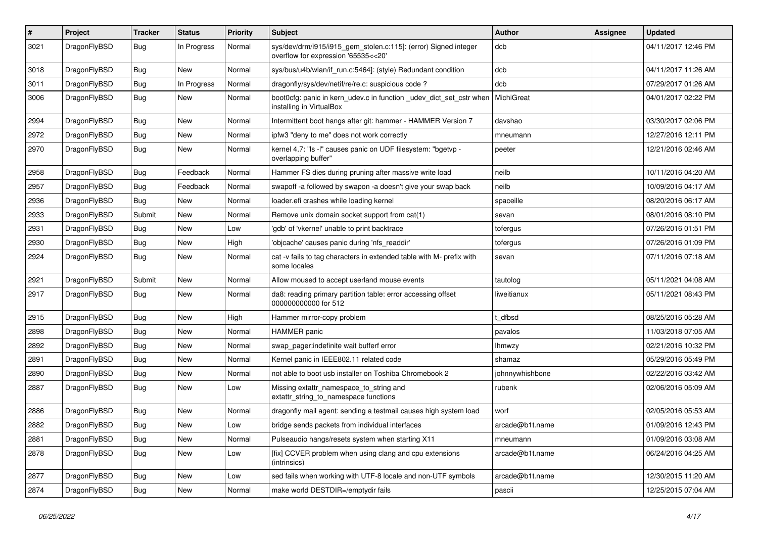| $\pmb{\#}$ | Project      | <b>Tracker</b> | <b>Status</b> | <b>Priority</b> | <b>Subject</b>                                                                                         | Author          | <b>Assignee</b> | <b>Updated</b>      |
|------------|--------------|----------------|---------------|-----------------|--------------------------------------------------------------------------------------------------------|-----------------|-----------------|---------------------|
| 3021       | DragonFlyBSD | Bug            | In Progress   | Normal          | sys/dev/drm/i915/i915_gem_stolen.c:115]: (error) Signed integer<br>overflow for expression '65535<<20' | dcb             |                 | 04/11/2017 12:46 PM |
| 3018       | DragonFlyBSD | <b>Bug</b>     | <b>New</b>    | Normal          | sys/bus/u4b/wlan/if_run.c:5464]: (style) Redundant condition                                           | dcb             |                 | 04/11/2017 11:26 AM |
| 3011       | DragonFlyBSD | Bug            | In Progress   | Normal          | dragonfly/sys/dev/netif/re/re.c: suspicious code?                                                      | dcb             |                 | 07/29/2017 01:26 AM |
| 3006       | DragonFlyBSD | Bug            | New           | Normal          | boot0cfg: panic in kern_udev.c in function _udev_dict_set_cstr when<br>installing in VirtualBox        | MichiGreat      |                 | 04/01/2017 02:22 PM |
| 2994       | DragonFlyBSD | Bug            | <b>New</b>    | Normal          | Intermittent boot hangs after git: hammer - HAMMER Version 7                                           | davshao         |                 | 03/30/2017 02:06 PM |
| 2972       | DragonFlyBSD | Bug            | <b>New</b>    | Normal          | ipfw3 "deny to me" does not work correctly                                                             | mneumann        |                 | 12/27/2016 12:11 PM |
| 2970       | DragonFlyBSD | Bug            | New           | Normal          | kernel 4.7: "Is -I" causes panic on UDF filesystem: "bgetvp -<br>overlapping buffer"                   | peeter          |                 | 12/21/2016 02:46 AM |
| 2958       | DragonFlyBSD | <b>Bug</b>     | Feedback      | Normal          | Hammer FS dies during pruning after massive write load                                                 | neilb           |                 | 10/11/2016 04:20 AM |
| 2957       | DragonFlyBSD | Bug            | Feedback      | Normal          | swapoff -a followed by swapon -a doesn't give your swap back                                           | neilb           |                 | 10/09/2016 04:17 AM |
| 2936       | DragonFlyBSD | Bug            | <b>New</b>    | Normal          | loader.efi crashes while loading kernel                                                                | spaceille       |                 | 08/20/2016 06:17 AM |
| 2933       | DragonFlyBSD | Submit         | New           | Normal          | Remove unix domain socket support from cat(1)                                                          | sevan           |                 | 08/01/2016 08:10 PM |
| 2931       | DragonFlyBSD | Bug            | New           | Low             | 'gdb' of 'vkernel' unable to print backtrace                                                           | tofergus        |                 | 07/26/2016 01:51 PM |
| 2930       | DragonFlyBSD | Bug            | New           | High            | 'objcache' causes panic during 'nfs_readdir'                                                           | tofergus        |                 | 07/26/2016 01:09 PM |
| 2924       | DragonFlyBSD | Bug            | New           | Normal          | cat -v fails to tag characters in extended table with M- prefix with<br>some locales                   | sevan           |                 | 07/11/2016 07:18 AM |
| 2921       | DragonFlyBSD | Submit         | <b>New</b>    | Normal          | Allow moused to accept userland mouse events                                                           | tautolog        |                 | 05/11/2021 04:08 AM |
| 2917       | DragonFlyBSD | Bug            | New           | Normal          | da8: reading primary partition table: error accessing offset<br>000000000000 for 512                   | liweitianux     |                 | 05/11/2021 08:43 PM |
| 2915       | DragonFlyBSD | <b>Bug</b>     | <b>New</b>    | High            | Hammer mirror-copy problem                                                                             | dfbsd           |                 | 08/25/2016 05:28 AM |
| 2898       | DragonFlyBSD | Bug            | <b>New</b>    | Normal          | <b>HAMMER</b> panic                                                                                    | pavalos         |                 | 11/03/2018 07:05 AM |
| 2892       | DragonFlyBSD | Bug            | New           | Normal          | swap pager:indefinite wait bufferf error                                                               | lhmwzy          |                 | 02/21/2016 10:32 PM |
| 2891       | DragonFlyBSD | Bug            | <b>New</b>    | Normal          | Kernel panic in IEEE802.11 related code                                                                | shamaz          |                 | 05/29/2016 05:49 PM |
| 2890       | DragonFlyBSD | Bug            | <b>New</b>    | Normal          | not able to boot usb installer on Toshiba Chromebook 2                                                 | johnnywhishbone |                 | 02/22/2016 03:42 AM |
| 2887       | DragonFlyBSD | Bug            | New           | Low             | Missing extattr_namespace_to_string and<br>extattr_string_to_namespace functions                       | rubenk          |                 | 02/06/2016 05:09 AM |
| 2886       | DragonFlyBSD | <b>Bug</b>     | <b>New</b>    | Normal          | dragonfly mail agent: sending a testmail causes high system load                                       | worf            |                 | 02/05/2016 05:53 AM |
| 2882       | DragonFlyBSD | Bug            | New           | Low             | bridge sends packets from individual interfaces                                                        | arcade@b1t.name |                 | 01/09/2016 12:43 PM |
| 2881       | DragonFlyBSD | Bug            | New           | Normal          | Pulseaudio hangs/resets system when starting X11                                                       | mneumann        |                 | 01/09/2016 03:08 AM |
| 2878       | DragonFlyBSD | <b>Bug</b>     | New           | Low             | [fix] CCVER problem when using clang and cpu extensions<br>(intrinsics)                                | arcade@b1t.name |                 | 06/24/2016 04:25 AM |
| 2877       | DragonFlyBSD | Bug            | New           | Low             | sed fails when working with UTF-8 locale and non-UTF symbols                                           | arcade@b1t.name |                 | 12/30/2015 11:20 AM |
| 2874       | DragonFlyBSD | <b>Bug</b>     | New           | Normal          | make world DESTDIR=/emptydir fails                                                                     | pascii          |                 | 12/25/2015 07:04 AM |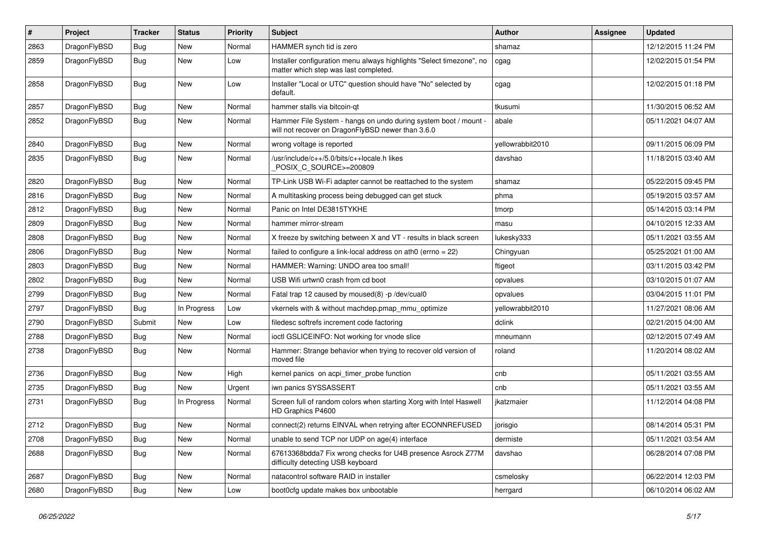| $\sharp$ | Project      | <b>Tracker</b> | <b>Status</b> | <b>Priority</b> | Subject                                                                                                              | Author           | <b>Assignee</b> | <b>Updated</b>      |
|----------|--------------|----------------|---------------|-----------------|----------------------------------------------------------------------------------------------------------------------|------------------|-----------------|---------------------|
| 2863     | DragonFlyBSD | <b>Bug</b>     | <b>New</b>    | Normal          | HAMMER synch tid is zero                                                                                             | shamaz           |                 | 12/12/2015 11:24 PM |
| 2859     | DragonFlyBSD | <b>Bug</b>     | <b>New</b>    | Low             | Installer configuration menu always highlights "Select timezone", no<br>matter which step was last completed.        | cgag             |                 | 12/02/2015 01:54 PM |
| 2858     | DragonFlyBSD | Bug            | <b>New</b>    | Low             | Installer "Local or UTC" question should have "No" selected by<br>default.                                           | cgag             |                 | 12/02/2015 01:18 PM |
| 2857     | DragonFlyBSD | Bug            | New           | Normal          | hammer stalls via bitcoin-qt                                                                                         | tkusumi          |                 | 11/30/2015 06:52 AM |
| 2852     | DragonFlyBSD | Bug            | New           | Normal          | Hammer File System - hangs on undo during system boot / mount -<br>will not recover on DragonFlyBSD newer than 3.6.0 | abale            |                 | 05/11/2021 04:07 AM |
| 2840     | DragonFlyBSD | Bug            | <b>New</b>    | Normal          | wrong voltage is reported                                                                                            | yellowrabbit2010 |                 | 09/11/2015 06:09 PM |
| 2835     | DragonFlyBSD | Bug            | New           | Normal          | /usr/include/c++/5.0/bits/c++locale.h likes<br>POSIX_C_SOURCE>=200809                                                | davshao          |                 | 11/18/2015 03:40 AM |
| 2820     | DragonFlyBSD | Bug            | <b>New</b>    | Normal          | TP-Link USB Wi-Fi adapter cannot be reattached to the system                                                         | shamaz           |                 | 05/22/2015 09:45 PM |
| 2816     | DragonFlyBSD | Bug            | <b>New</b>    | Normal          | A multitasking process being debugged can get stuck                                                                  | phma             |                 | 05/19/2015 03:57 AM |
| 2812     | DragonFlyBSD | Bug            | New           | Normal          | Panic on Intel DE3815TYKHE                                                                                           | tmorp            |                 | 05/14/2015 03:14 PM |
| 2809     | DragonFlyBSD | Bug            | <b>New</b>    | Normal          | hammer mirror-stream                                                                                                 | masu             |                 | 04/10/2015 12:33 AM |
| 2808     | DragonFlyBSD | Bug            | New           | Normal          | X freeze by switching between X and VT - results in black screen                                                     | lukesky333       |                 | 05/11/2021 03:55 AM |
| 2806     | DragonFlyBSD | Bug            | New           | Normal          | failed to configure a link-local address on ath0 (errno = 22)                                                        | Chingyuan        |                 | 05/25/2021 01:00 AM |
| 2803     | DragonFlyBSD | Bug            | <b>New</b>    | Normal          | HAMMER: Warning: UNDO area too small!                                                                                | ftigeot          |                 | 03/11/2015 03:42 PM |
| 2802     | DragonFlyBSD | Bug            | New           | Normal          | USB Wifi urtwn0 crash from cd boot                                                                                   | opvalues         |                 | 03/10/2015 01:07 AM |
| 2799     | DragonFlyBSD | Bug            | New           | Normal          | Fatal trap 12 caused by moused(8) -p /dev/cual0                                                                      | opvalues         |                 | 03/04/2015 11:01 PM |
| 2797     | DragonFlyBSD | Bug            | In Progress   | Low             | vkernels with & without machdep.pmap_mmu_optimize                                                                    | yellowrabbit2010 |                 | 11/27/2021 08:06 AM |
| 2790     | DragonFlyBSD | Submit         | <b>New</b>    | Low             | filedesc softrefs increment code factoring                                                                           | dclink           |                 | 02/21/2015 04:00 AM |
| 2788     | DragonFlyBSD | Bug            | New           | Normal          | ioctl GSLICEINFO: Not working for vnode slice                                                                        | mneumann         |                 | 02/12/2015 07:49 AM |
| 2738     | DragonFlyBSD | Bug            | <b>New</b>    | Normal          | Hammer: Strange behavior when trying to recover old version of<br>moved file                                         | roland           |                 | 11/20/2014 08:02 AM |
| 2736     | DragonFlyBSD | Bug            | New           | High            | kernel panics on acpi_timer_probe function                                                                           | cnb              |                 | 05/11/2021 03:55 AM |
| 2735     | DragonFlyBSD | <b>Bug</b>     | New           | Urgent          | iwn panics SYSSASSERT                                                                                                | cnb              |                 | 05/11/2021 03:55 AM |
| 2731     | DragonFlyBSD | <b>Bug</b>     | In Progress   | Normal          | Screen full of random colors when starting Xorg with Intel Haswell<br>HD Graphics P4600                              | jkatzmaier       |                 | 11/12/2014 04:08 PM |
| 2712     | DragonFlyBSD | Bug            | <b>New</b>    | Normal          | connect(2) returns EINVAL when retrying after ECONNREFUSED                                                           | jorisgio         |                 | 08/14/2014 05:31 PM |
| 2708     | DragonFlyBSD | <b>Bug</b>     | New           | Normal          | unable to send TCP nor UDP on age(4) interface                                                                       | dermiste         |                 | 05/11/2021 03:54 AM |
| 2688     | DragonFlyBSD | <b>Bug</b>     | New           | Normal          | 67613368bdda7 Fix wrong checks for U4B presence Asrock Z77M<br>difficulty detecting USB keyboard                     | davshao          |                 | 06/28/2014 07:08 PM |
| 2687     | DragonFlyBSD | <b>Bug</b>     | <b>New</b>    | Normal          | natacontrol software RAID in installer                                                                               | csmelosky        |                 | 06/22/2014 12:03 PM |
| 2680     | DragonFlyBSD | <b>Bug</b>     | New           | Low             | boot0cfg update makes box unbootable                                                                                 | herrgard         |                 | 06/10/2014 06:02 AM |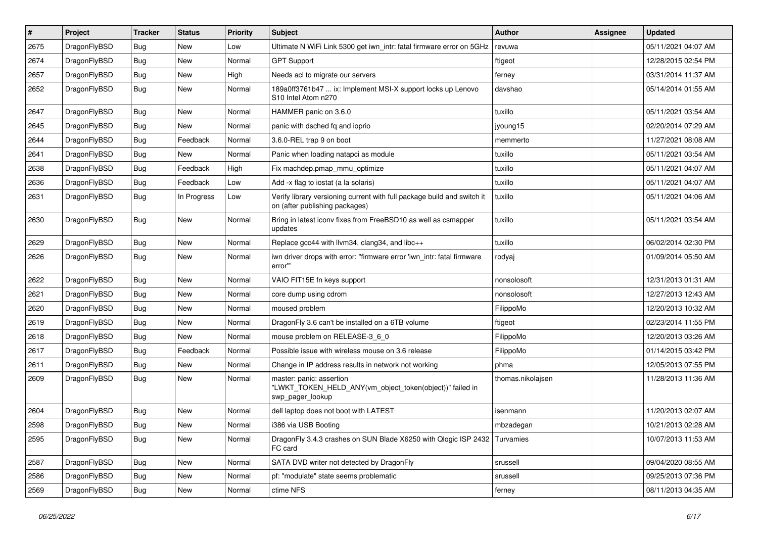| $\vert$ # | Project      | <b>Tracker</b> | <b>Status</b> | <b>Priority</b> | Subject                                                                                                   | Author            | Assignee | <b>Updated</b>      |
|-----------|--------------|----------------|---------------|-----------------|-----------------------------------------------------------------------------------------------------------|-------------------|----------|---------------------|
| 2675      | DragonFlyBSD | Bug            | <b>New</b>    | Low             | Ultimate N WiFi Link 5300 get iwn_intr: fatal firmware error on 5GHz                                      | revuwa            |          | 05/11/2021 04:07 AM |
| 2674      | DragonFlyBSD | <b>Bug</b>     | <b>New</b>    | Normal          | <b>GPT Support</b>                                                                                        | ftigeot           |          | 12/28/2015 02:54 PM |
| 2657      | DragonFlyBSD | <b>Bug</b>     | New           | High            | Needs acl to migrate our servers                                                                          | ferney            |          | 03/31/2014 11:37 AM |
| 2652      | DragonFlyBSD | Bug            | New           | Normal          | 189a0ff3761b47  ix: Implement MSI-X support locks up Lenovo<br>S10 Intel Atom n270                        | davshao           |          | 05/14/2014 01:55 AM |
| 2647      | DragonFlyBSD | <b>Bug</b>     | New           | Normal          | HAMMER panic on 3.6.0                                                                                     | tuxillo           |          | 05/11/2021 03:54 AM |
| 2645      | DragonFlyBSD | Bug            | <b>New</b>    | Normal          | panic with dsched fq and ioprio                                                                           | jyoung15          |          | 02/20/2014 07:29 AM |
| 2644      | DragonFlyBSD | <b>Bug</b>     | Feedback      | Normal          | 3.6.0-REL trap 9 on boot                                                                                  | memmerto          |          | 11/27/2021 08:08 AM |
| 2641      | DragonFlyBSD | Bug            | New           | Normal          | Panic when loading natapci as module                                                                      | tuxillo           |          | 05/11/2021 03:54 AM |
| 2638      | DragonFlyBSD | <b>Bug</b>     | Feedback      | High            | Fix machdep.pmap_mmu_optimize                                                                             | tuxillo           |          | 05/11/2021 04:07 AM |
| 2636      | DragonFlyBSD | <b>Bug</b>     | Feedback      | Low             | Add -x flag to iostat (a la solaris)                                                                      | tuxillo           |          | 05/11/2021 04:07 AM |
| 2631      | DragonFlyBSD | Bug            | In Progress   | Low             | Verify library versioning current with full package build and switch it<br>on (after publishing packages) | tuxillo           |          | 05/11/2021 04:06 AM |
| 2630      | DragonFlyBSD | Bug            | New           | Normal          | Bring in latest iconv fixes from FreeBSD10 as well as csmapper<br>updates                                 | tuxillo           |          | 05/11/2021 03:54 AM |
| 2629      | DragonFlyBSD | Bug            | New           | Normal          | Replace gcc44 with llvm34, clang34, and libc++                                                            | tuxillo           |          | 06/02/2014 02:30 PM |
| 2626      | DragonFlyBSD | Bug            | New           | Normal          | iwn driver drops with error: "firmware error 'iwn_intr: fatal firmware<br>error""                         | rodyaj            |          | 01/09/2014 05:50 AM |
| 2622      | DragonFlyBSD | Bug            | <b>New</b>    | Normal          | VAIO FIT15E fn keys support                                                                               | nonsolosoft       |          | 12/31/2013 01:31 AM |
| 2621      | DragonFlyBSD | <b>Bug</b>     | <b>New</b>    | Normal          | core dump using cdrom                                                                                     | nonsolosoft       |          | 12/27/2013 12:43 AM |
| 2620      | DragonFlyBSD | Bug            | <b>New</b>    | Normal          | moused problem                                                                                            | FilippoMo         |          | 12/20/2013 10:32 AM |
| 2619      | DragonFlyBSD | <b>Bug</b>     | New           | Normal          | DragonFly 3.6 can't be installed on a 6TB volume                                                          | ftigeot           |          | 02/23/2014 11:55 PM |
| 2618      | DragonFlyBSD | <b>Bug</b>     | <b>New</b>    | Normal          | mouse problem on RELEASE-3_6_0                                                                            | FilippoMo         |          | 12/20/2013 03:26 AM |
| 2617      | DragonFlyBSD | <b>Bug</b>     | Feedback      | Normal          | Possible issue with wireless mouse on 3.6 release                                                         | FilippoMo         |          | 01/14/2015 03:42 PM |
| 2611      | DragonFlyBSD | Bug            | <b>New</b>    | Normal          | Change in IP address results in network not working                                                       | phma              |          | 12/05/2013 07:55 PM |
| 2609      | DragonFlyBSD | Bug            | New           | Normal          | master: panic: assertion<br>"LWKT_TOKEN_HELD_ANY(vm_object_token(object))" failed in<br>swp_pager_lookup  | thomas.nikolajsen |          | 11/28/2013 11:36 AM |
| 2604      | DragonFlyBSD | <b>Bug</b>     | <b>New</b>    | Normal          | dell laptop does not boot with LATEST                                                                     | isenmann          |          | 11/20/2013 02:07 AM |
| 2598      | DragonFlyBSD | Bug            | New           | Normal          | i386 via USB Booting                                                                                      | mbzadegan         |          | 10/21/2013 02:28 AM |
| 2595      | DragonFlyBSD | <b>Bug</b>     | New           | Normal          | DragonFly 3.4.3 crashes on SUN Blade X6250 with Qlogic ISP 2432<br>FC card                                | Turvamies         |          | 10/07/2013 11:53 AM |
| 2587      | DragonFlyBSD | <b>Bug</b>     | New           | Normal          | SATA DVD writer not detected by DragonFly                                                                 | srussell          |          | 09/04/2020 08:55 AM |
| 2586      | DragonFlyBSD | <b>Bug</b>     | New           | Normal          | pf: "modulate" state seems problematic                                                                    | srussell          |          | 09/25/2013 07:36 PM |
| 2569      | DragonFlyBSD | <b>Bug</b>     | New           | Normal          | ctime NFS                                                                                                 | ferney            |          | 08/11/2013 04:35 AM |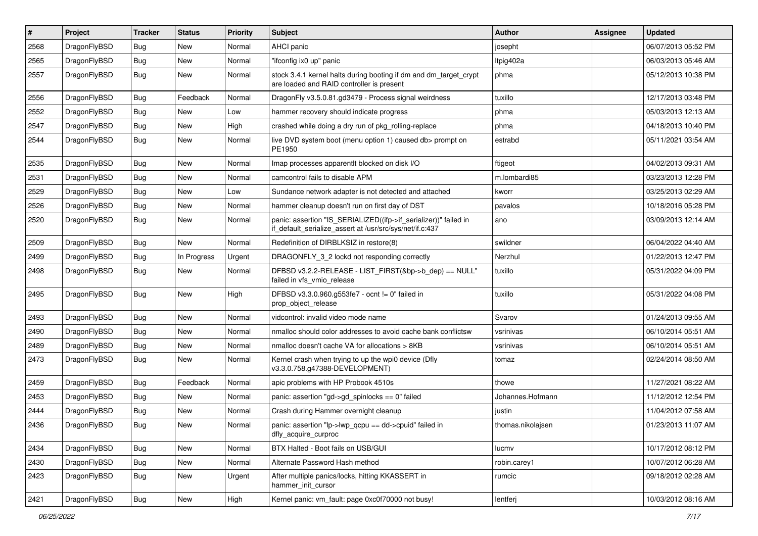| $\sharp$ | Project      | <b>Tracker</b> | <b>Status</b> | <b>Priority</b> | Subject                                                                                                                      | Author            | Assignee | <b>Updated</b>      |
|----------|--------------|----------------|---------------|-----------------|------------------------------------------------------------------------------------------------------------------------------|-------------------|----------|---------------------|
| 2568     | DragonFlyBSD | <b>Bug</b>     | New           | Normal          | AHCI panic                                                                                                                   | josepht           |          | 06/07/2013 05:52 PM |
| 2565     | DragonFlyBSD | <b>Bug</b>     | New           | Normal          | "ifconfig ix0 up" panic                                                                                                      | ltpig402a         |          | 06/03/2013 05:46 AM |
| 2557     | DragonFlyBSD | <b>Bug</b>     | New           | Normal          | stock 3.4.1 kernel halts during booting if dm and dm_target_crypt<br>are loaded and RAID controller is present               | phma              |          | 05/12/2013 10:38 PM |
| 2556     | DragonFlyBSD | Bug            | Feedback      | Normal          | DragonFly v3.5.0.81.gd3479 - Process signal weirdness                                                                        | tuxillo           |          | 12/17/2013 03:48 PM |
| 2552     | DragonFlyBSD | <b>Bug</b>     | New           | Low             | hammer recovery should indicate progress                                                                                     | phma              |          | 05/03/2013 12:13 AM |
| 2547     | DragonFlyBSD | <b>Bug</b>     | New           | High            | crashed while doing a dry run of pkg rolling-replace                                                                         | phma              |          | 04/18/2013 10:40 PM |
| 2544     | DragonFlyBSD | <b>Bug</b>     | New           | Normal          | live DVD system boot (menu option 1) caused db> prompt on<br>PE1950                                                          | estrabd           |          | 05/11/2021 03:54 AM |
| 2535     | DragonFlyBSD | <b>Bug</b>     | New           | Normal          | Imap processes apparentlt blocked on disk I/O                                                                                | ftigeot           |          | 04/02/2013 09:31 AM |
| 2531     | DragonFlyBSD | <b>Bug</b>     | New           | Normal          | camcontrol fails to disable APM                                                                                              | m.lombardi85      |          | 03/23/2013 12:28 PM |
| 2529     | DragonFlyBSD | <b>Bug</b>     | <b>New</b>    | Low             | Sundance network adapter is not detected and attached                                                                        | kworr             |          | 03/25/2013 02:29 AM |
| 2526     | DragonFlyBSD | <b>Bug</b>     | New           | Normal          | hammer cleanup doesn't run on first day of DST                                                                               | pavalos           |          | 10/18/2016 05:28 PM |
| 2520     | DragonFlyBSD | <b>Bug</b>     | <b>New</b>    | Normal          | panic: assertion "IS_SERIALIZED((ifp->if_serializer))" failed in<br>if_default_serialize_assert at /usr/src/sys/net/if.c:437 | ano               |          | 03/09/2013 12:14 AM |
| 2509     | DragonFlyBSD | Bug            | New           | Normal          | Redefinition of DIRBLKSIZ in restore(8)                                                                                      | swildner          |          | 06/04/2022 04:40 AM |
| 2499     | DragonFlyBSD | <b>Bug</b>     | In Progress   | Urgent          | DRAGONFLY_3_2 lockd not responding correctly                                                                                 | Nerzhul           |          | 01/22/2013 12:47 PM |
| 2498     | DragonFlyBSD | <b>Bug</b>     | New           | Normal          | DFBSD v3.2.2-RELEASE - LIST FIRST(&bp->b dep) == NULL"<br>failed in vfs_vmio_release                                         | tuxillo           |          | 05/31/2022 04:09 PM |
| 2495     | DragonFlyBSD | Bug            | New           | High            | DFBSD v3.3.0.960.g553fe7 - ocnt != 0" failed in<br>prop_object_release                                                       | tuxillo           |          | 05/31/2022 04:08 PM |
| 2493     | DragonFlyBSD | <b>Bug</b>     | <b>New</b>    | Normal          | vidcontrol: invalid video mode name                                                                                          | Svarov            |          | 01/24/2013 09:55 AM |
| 2490     | DragonFlyBSD | Bug            | <b>New</b>    | Normal          | nmalloc should color addresses to avoid cache bank conflictsw                                                                | vsrinivas         |          | 06/10/2014 05:51 AM |
| 2489     | DragonFlyBSD | Bug            | New           | Normal          | nmalloc doesn't cache VA for allocations > 8KB                                                                               | vsrinivas         |          | 06/10/2014 05:51 AM |
| 2473     | DragonFlyBSD | Bug            | New           | Normal          | Kernel crash when trying to up the wpi0 device (Dfly<br>v3.3.0.758.g47388-DEVELOPMENT)                                       | tomaz             |          | 02/24/2014 08:50 AM |
| 2459     | DragonFlyBSD | Bug            | Feedback      | Normal          | apic problems with HP Probook 4510s                                                                                          | thowe             |          | 11/27/2021 08:22 AM |
| 2453     | DragonFlyBSD | Bug            | New           | Normal          | panic: assertion "gd->gd_spinlocks == 0" failed                                                                              | Johannes.Hofmann  |          | 11/12/2012 12:54 PM |
| 2444     | DragonFlyBSD | Bug            | New           | Normal          | Crash during Hammer overnight cleanup                                                                                        | justin            |          | 11/04/2012 07:58 AM |
| 2436     | DragonFlyBSD | Bug            | <b>New</b>    | Normal          | panic: assertion "lp->lwp qcpu == dd->cpuid" failed in<br>dfly_acquire_curproc                                               | thomas.nikolaisen |          | 01/23/2013 11:07 AM |
| 2434     | DragonFlyBSD | <b>Bug</b>     | <b>New</b>    | Normal          | BTX Halted - Boot fails on USB/GUI                                                                                           | lucmv             |          | 10/17/2012 08:12 PM |
| 2430     | DragonFlyBSD | Bug            | New           | Normal          | Alternate Password Hash method                                                                                               | robin.carey1      |          | 10/07/2012 06:28 AM |
| 2423     | DragonFlyBSD | <b>Bug</b>     | New           | Urgent          | After multiple panics/locks, hitting KKASSERT in<br>hammer_init_cursor                                                       | rumcic            |          | 09/18/2012 02:28 AM |
| 2421     | DragonFlyBSD | Bug            | New           | High            | Kernel panic: vm_fault: page 0xc0f70000 not busy!                                                                            | lentferj          |          | 10/03/2012 08:16 AM |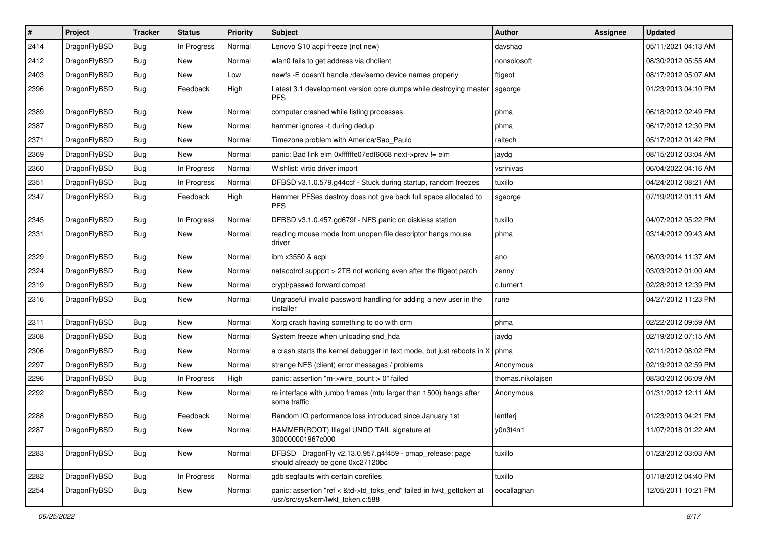| #    | Project      | <b>Tracker</b> | <b>Status</b> | <b>Priority</b> | Subject                                                                                                    | Author            | Assignee | <b>Updated</b>      |
|------|--------------|----------------|---------------|-----------------|------------------------------------------------------------------------------------------------------------|-------------------|----------|---------------------|
| 2414 | DragonFlyBSD | Bug            | In Progress   | Normal          | Lenovo S10 acpi freeze (not new)                                                                           | davshao           |          | 05/11/2021 04:13 AM |
| 2412 | DragonFlyBSD | Bug            | <b>New</b>    | Normal          | wlan0 fails to get address via dhclient                                                                    | nonsolosoft       |          | 08/30/2012 05:55 AM |
| 2403 | DragonFlyBSD | <b>Bug</b>     | New           | Low             | newfs -E doesn't handle /dev/serno device names properly                                                   | ftigeot           |          | 08/17/2012 05:07 AM |
| 2396 | DragonFlyBSD | Bug            | Feedback      | High            | Latest 3.1 development version core dumps while destroying master<br><b>PFS</b>                            | sgeorge           |          | 01/23/2013 04:10 PM |
| 2389 | DragonFlyBSD | Bug            | New           | Normal          | computer crashed while listing processes                                                                   | phma              |          | 06/18/2012 02:49 PM |
| 2387 | DragonFlyBSD | <b>Bug</b>     | <b>New</b>    | Normal          | hammer ignores -t during dedup                                                                             | phma              |          | 06/17/2012 12:30 PM |
| 2371 | DragonFlyBSD | Bug            | <b>New</b>    | Normal          | Timezone problem with America/Sao_Paulo                                                                    | raitech           |          | 05/17/2012 01:42 PM |
| 2369 | DragonFlyBSD | Bug            | New           | Normal          | panic: Bad link elm 0xffffffe07edf6068 next->prev != elm                                                   | jaydg             |          | 08/15/2012 03:04 AM |
| 2360 | DragonFlyBSD | Bug            | In Progress   | Normal          | Wishlist: virtio driver import                                                                             | vsrinivas         |          | 06/04/2022 04:16 AM |
| 2351 | DragonFlyBSD | <b>Bug</b>     | In Progress   | Normal          | DFBSD v3.1.0.579.g44ccf - Stuck during startup, random freezes                                             | tuxillo           |          | 04/24/2012 08:21 AM |
| 2347 | DragonFlyBSD | Bug            | Feedback      | High            | Hammer PFSes destroy does not give back full space allocated to<br><b>PFS</b>                              | sgeorge           |          | 07/19/2012 01:11 AM |
| 2345 | DragonFlyBSD | Bug            | In Progress   | Normal          | DFBSD v3.1.0.457.gd679f - NFS panic on diskless station                                                    | tuxillo           |          | 04/07/2012 05:22 PM |
| 2331 | DragonFlyBSD | <b>Bug</b>     | New           | Normal          | reading mouse mode from unopen file descriptor hangs mouse<br>driver                                       | phma              |          | 03/14/2012 09:43 AM |
| 2329 | DragonFlyBSD | <b>Bug</b>     | <b>New</b>    | Normal          | ibm x3550 & acpi                                                                                           | ano               |          | 06/03/2014 11:37 AM |
| 2324 | DragonFlyBSD | Bug            | <b>New</b>    | Normal          | natacotrol support > 2TB not working even after the ftigeot patch                                          | zenny             |          | 03/03/2012 01:00 AM |
| 2319 | DragonFlyBSD | <b>Bug</b>     | New           | Normal          | crypt/passwd forward compat                                                                                | c.turner1         |          | 02/28/2012 12:39 PM |
| 2316 | DragonFlyBSD | Bug            | <b>New</b>    | Normal          | Ungraceful invalid password handling for adding a new user in the<br>installer                             | rune              |          | 04/27/2012 11:23 PM |
| 2311 | DragonFlyBSD | Bug            | <b>New</b>    | Normal          | Xorg crash having something to do with drm                                                                 | phma              |          | 02/22/2012 09:59 AM |
| 2308 | DragonFlyBSD | Bug            | New           | Normal          | System freeze when unloading snd_hda                                                                       | jaydg             |          | 02/19/2012 07:15 AM |
| 2306 | DragonFlyBSD | <b>Bug</b>     | <b>New</b>    | Normal          | a crash starts the kernel debugger in text mode, but just reboots in X                                     | phma              |          | 02/11/2012 08:02 PM |
| 2297 | DragonFlyBSD | Bug            | New           | Normal          | strange NFS (client) error messages / problems                                                             | Anonymous         |          | 02/19/2012 02:59 PM |
| 2296 | DragonFlyBSD | Bug            | In Progress   | High            | panic: assertion "m->wire_count > 0" failed                                                                | thomas.nikolajsen |          | 08/30/2012 06:09 AM |
| 2292 | DragonFlyBSD | <b>Bug</b>     | New           | Normal          | re interface with jumbo frames (mtu larger than 1500) hangs after<br>some traffic                          | Anonymous         |          | 01/31/2012 12:11 AM |
| 2288 | DragonFlyBSD | <b>Bug</b>     | Feedback      | Normal          | Random IO performance loss introduced since January 1st                                                    | lentferj          |          | 01/23/2013 04:21 PM |
| 2287 | DragonFlyBSD | <b>Bug</b>     | New           | Normal          | HAMMER(ROOT) Illegal UNDO TAIL signature at<br>300000001967c000                                            | y0n3t4n1          |          | 11/07/2018 01:22 AM |
| 2283 | DragonFlyBSD | <b>Bug</b>     | New           | Normal          | DFBSD DragonFly v2.13.0.957.g4f459 - pmap_release: page<br>should already be gone 0xc27120bc               | tuxillo           |          | 01/23/2012 03:03 AM |
| 2282 | DragonFlyBSD | <b>Bug</b>     | In Progress   | Normal          | gdb segfaults with certain corefiles                                                                       | tuxillo           |          | 01/18/2012 04:40 PM |
| 2254 | DragonFlyBSD | <b>Bug</b>     | New           | Normal          | panic: assertion "ref < &td->td toks end" failed in lwkt gettoken at<br>/usr/src/sys/kern/lwkt_token.c:588 | eocallaghan       |          | 12/05/2011 10:21 PM |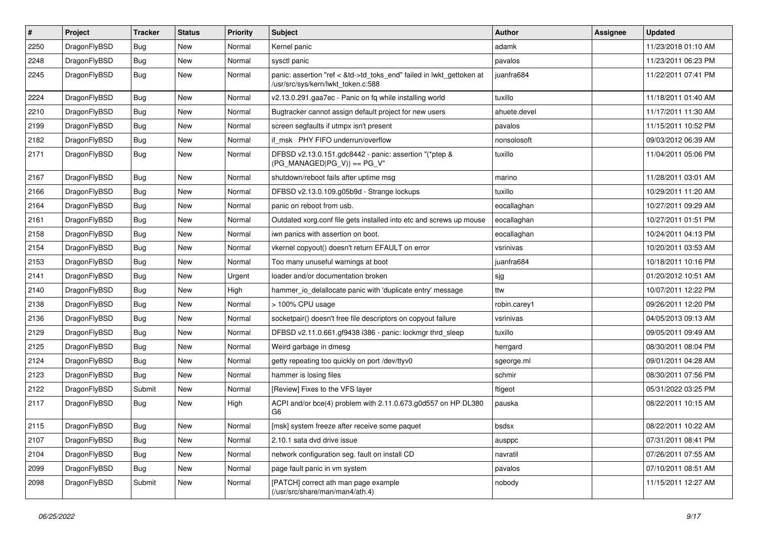| $\sharp$ | Project      | <b>Tracker</b> | <b>Status</b> | <b>Priority</b> | Subject                                                                                                    | Author       | Assignee | <b>Updated</b>      |
|----------|--------------|----------------|---------------|-----------------|------------------------------------------------------------------------------------------------------------|--------------|----------|---------------------|
| 2250     | DragonFlyBSD | Bug            | New           | Normal          | Kernel panic                                                                                               | adamk        |          | 11/23/2018 01:10 AM |
| 2248     | DragonFlyBSD | Bug            | New           | Normal          | sysctl panic                                                                                               | pavalos      |          | 11/23/2011 06:23 PM |
| 2245     | DragonFlyBSD | Bug            | New           | Normal          | panic: assertion "ref < &td->td_toks_end" failed in lwkt_gettoken at<br>/usr/src/sys/kern/lwkt_token.c:588 | juanfra684   |          | 11/22/2011 07:41 PM |
| 2224     | DragonFlyBSD | Bug            | <b>New</b>    | Normal          | v2.13.0.291.gaa7ec - Panic on fq while installing world                                                    | tuxillo      |          | 11/18/2011 01:40 AM |
| 2210     | DragonFlyBSD | Bug            | New           | Normal          | Bugtracker cannot assign default project for new users                                                     | ahuete.devel |          | 11/17/2011 11:30 AM |
| 2199     | DragonFlyBSD | Bug            | New           | Normal          | screen segfaults if utmpx isn't present                                                                    | pavalos      |          | 11/15/2011 10:52 PM |
| 2182     | DragonFlyBSD | Bug            | New           | Normal          | if_msk PHY FIFO underrun/overflow                                                                          | nonsolosoft  |          | 09/03/2012 06:39 AM |
| 2171     | DragonFlyBSD | Bug            | New           | Normal          | DFBSD v2.13.0.151.gdc8442 - panic: assertion "(*ptep &<br>$(PG_MANAGED PG_V)) == PG_V"$                    | tuxillo      |          | 11/04/2011 05:06 PM |
| 2167     | DragonFlyBSD | Bug            | <b>New</b>    | Normal          | shutdown/reboot fails after uptime msg                                                                     | marino       |          | 11/28/2011 03:01 AM |
| 2166     | DragonFlyBSD | Bug            | <b>New</b>    | Normal          | DFBSD v2.13.0.109.g05b9d - Strange lockups                                                                 | tuxillo      |          | 10/29/2011 11:20 AM |
| 2164     | DragonFlyBSD | Bug            | New           | Normal          | panic on reboot from usb.                                                                                  | eocallaghan  |          | 10/27/2011 09:29 AM |
| 2161     | DragonFlyBSD | Bug            | New           | Normal          | Outdated xorg.conf file gets installed into etc and screws up mouse                                        | eocallaghan  |          | 10/27/2011 01:51 PM |
| 2158     | DragonFlyBSD | Bug            | New           | Normal          | iwn panics with assertion on boot.                                                                         | eocallaghan  |          | 10/24/2011 04:13 PM |
| 2154     | DragonFlyBSD | Bug            | <b>New</b>    | Normal          | vkernel copyout() doesn't return EFAULT on error                                                           | vsrinivas    |          | 10/20/2011 03:53 AM |
| 2153     | DragonFlyBSD | Bug            | New           | Normal          | Too many unuseful warnings at boot                                                                         | juanfra684   |          | 10/18/2011 10:16 PM |
| 2141     | DragonFlyBSD | Bug            | <b>New</b>    | Urgent          | loader and/or documentation broken                                                                         | sjg          |          | 01/20/2012 10:51 AM |
| 2140     | DragonFlyBSD | Bug            | New           | High            | hammer io delallocate panic with 'duplicate entry' message                                                 | ttw          |          | 10/07/2011 12:22 PM |
| 2138     | DragonFlyBSD | Bug            | New           | Normal          | > 100% CPU usage                                                                                           | robin.carey1 |          | 09/26/2011 12:20 PM |
| 2136     | DragonFlyBSD | Bug            | New           | Normal          | socketpair() doesn't free file descriptors on copyout failure                                              | vsrinivas    |          | 04/05/2013 09:13 AM |
| 2129     | DragonFlyBSD | Bug            | New           | Normal          | DFBSD v2.11.0.661.gf9438 i386 - panic: lockmgr thrd_sleep                                                  | tuxillo      |          | 09/05/2011 09:49 AM |
| 2125     | DragonFlyBSD | Bug            | New           | Normal          | Weird garbage in dmesg                                                                                     | herrgard     |          | 08/30/2011 08:04 PM |
| 2124     | DragonFlyBSD | Bug            | New           | Normal          | getty repeating too quickly on port /dev/ttyv0                                                             | sgeorge.ml   |          | 09/01/2011 04:28 AM |
| 2123     | DragonFlyBSD | Bug            | <b>New</b>    | Normal          | hammer is losing files                                                                                     | schmir       |          | 08/30/2011 07:56 PM |
| 2122     | DragonFlyBSD | Submit         | New           | Normal          | [Review] Fixes to the VFS layer                                                                            | ftigeot      |          | 05/31/2022 03:25 PM |
| 2117     | DragonFlyBSD | Bug            | <b>New</b>    | High            | ACPI and/or bce(4) problem with 2.11.0.673.g0d557 on HP DL380<br>G6                                        | pauska       |          | 08/22/2011 10:15 AM |
| 2115     | DragonFlyBSD | Bug            | <b>New</b>    | Normal          | [msk] system freeze after receive some paquet                                                              | bsdsx        |          | 08/22/2011 10:22 AM |
| 2107     | DragonFlyBSD | <b>Bug</b>     | <b>New</b>    | Normal          | 2.10.1 sata dvd drive issue                                                                                | ausppc       |          | 07/31/2011 08:41 PM |
| 2104     | DragonFlyBSD | <b>Bug</b>     | <b>New</b>    | Normal          | network configuration seg. fault on install CD                                                             | navratil     |          | 07/26/2011 07:55 AM |
| 2099     | DragonFlyBSD | <b>Bug</b>     | <b>New</b>    | Normal          | page fault panic in vm system                                                                              | pavalos      |          | 07/10/2011 08:51 AM |
| 2098     | DragonFlyBSD | Submit         | New           | Normal          | [PATCH] correct ath man page example<br>$(ensure/star/src/share/man/man4/ath.4)$                           | nobody       |          | 11/15/2011 12:27 AM |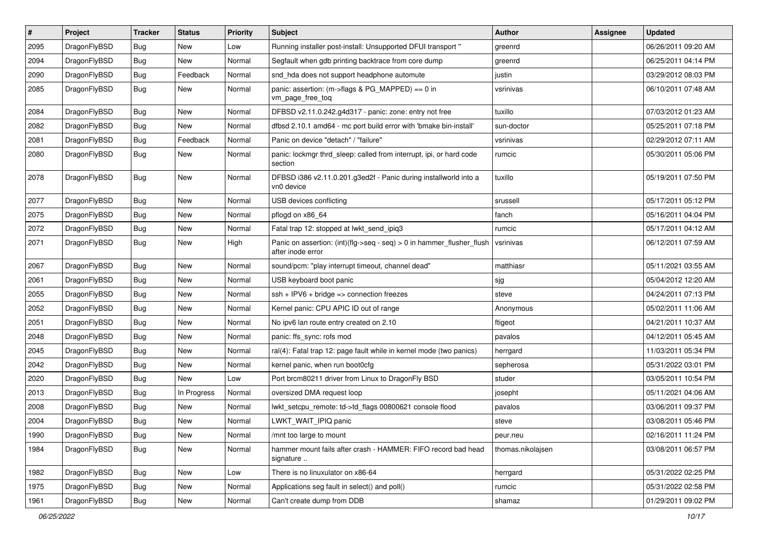| $\vert$ # | Project      | <b>Tracker</b> | <b>Status</b> | <b>Priority</b> | <b>Subject</b>                                                                             | Author            | Assignee | <b>Updated</b>      |
|-----------|--------------|----------------|---------------|-----------------|--------------------------------------------------------------------------------------------|-------------------|----------|---------------------|
| 2095      | DragonFlyBSD | <b>Bug</b>     | New           | Low             | Running installer post-install: Unsupported DFUI transport "                               | greenrd           |          | 06/26/2011 09:20 AM |
| 2094      | DragonFlyBSD | <b>Bug</b>     | New           | Normal          | Segfault when gdb printing backtrace from core dump                                        | greenrd           |          | 06/25/2011 04:14 PM |
| 2090      | DragonFlyBSD | Bug            | Feedback      | Normal          | snd_hda does not support headphone automute                                                | justin            |          | 03/29/2012 08:03 PM |
| 2085      | DragonFlyBSD | <b>Bug</b>     | New           | Normal          | panic: assertion: (m->flags & PG_MAPPED) == 0 in<br>vm_page_free_toq                       | vsrinivas         |          | 06/10/2011 07:48 AM |
| 2084      | DragonFlyBSD | Bug            | New           | Normal          | DFBSD v2.11.0.242.g4d317 - panic: zone: entry not free                                     | tuxillo           |          | 07/03/2012 01:23 AM |
| 2082      | DragonFlyBSD | Bug            | <b>New</b>    | Normal          | dfbsd 2.10.1 amd64 - mc port build error with 'bmake bin-install'                          | sun-doctor        |          | 05/25/2011 07:18 PM |
| 2081      | DragonFlyBSD | <b>Bug</b>     | Feedback      | Normal          | Panic on device "detach" / "failure"                                                       | vsrinivas         |          | 02/29/2012 07:11 AM |
| 2080      | DragonFlyBSD | Bug            | New           | Normal          | panic: lockmgr thrd_sleep: called from interrupt, ipi, or hard code<br>section             | rumcic            |          | 05/30/2011 05:06 PM |
| 2078      | DragonFlyBSD | Bug            | New           | Normal          | DFBSD i386 v2.11.0.201.g3ed2f - Panic during installworld into a<br>vn0 device             | tuxillo           |          | 05/19/2011 07:50 PM |
| 2077      | DragonFlyBSD | Bug            | <b>New</b>    | Normal          | USB devices conflicting                                                                    | srussell          |          | 05/17/2011 05:12 PM |
| 2075      | DragonFlyBSD | Bug            | New           | Normal          | pflogd on x86 64                                                                           | fanch             |          | 05/16/2011 04:04 PM |
| 2072      | DragonFlyBSD | Bug            | New           | Normal          | Fatal trap 12: stopped at lwkt_send_ipiq3                                                  | rumcic            |          | 05/17/2011 04:12 AM |
| 2071      | DragonFlyBSD | Bug            | New           | High            | Panic on assertion: (int)(flg->seq - seq) > 0 in hammer_flusher_flush<br>after inode error | vsrinivas         |          | 06/12/2011 07:59 AM |
| 2067      | DragonFlyBSD | Bug            | <b>New</b>    | Normal          | sound/pcm: "play interrupt timeout, channel dead"                                          | matthiasr         |          | 05/11/2021 03:55 AM |
| 2061      | DragonFlyBSD | Bug            | New           | Normal          | USB keyboard boot panic                                                                    | sjg               |          | 05/04/2012 12:20 AM |
| 2055      | DragonFlyBSD | <b>Bug</b>     | New           | Normal          | $ssh + IPV6 + bridge \Rightarrow$ connection freezes                                       | steve             |          | 04/24/2011 07:13 PM |
| 2052      | DragonFlyBSD | Bug            | <b>New</b>    | Normal          | Kernel panic: CPU APIC ID out of range                                                     | Anonymous         |          | 05/02/2011 11:06 AM |
| 2051      | DragonFlyBSD | <b>Bug</b>     | New           | Normal          | No ipv6 lan route entry created on 2.10                                                    | ftigeot           |          | 04/21/2011 10:37 AM |
| 2048      | DragonFlyBSD | Bug            | <b>New</b>    | Normal          | panic: ffs_sync: rofs mod                                                                  | pavalos           |          | 04/12/2011 05:45 AM |
| 2045      | DragonFlyBSD | <b>Bug</b>     | New           | Normal          | ral(4): Fatal trap 12: page fault while in kernel mode (two panics)                        | herrgard          |          | 11/03/2011 05:34 PM |
| 2042      | DragonFlyBSD | Bug            | New           | Normal          | kernel panic, when run boot0cfg                                                            | sepherosa         |          | 05/31/2022 03:01 PM |
| 2020      | DragonFlyBSD | Bug            | New           | Low             | Port brcm80211 driver from Linux to DragonFly BSD                                          | studer            |          | 03/05/2011 10:54 PM |
| 2013      | DragonFlyBSD | <b>Bug</b>     | In Progress   | Normal          | oversized DMA request loop                                                                 | josepht           |          | 05/11/2021 04:06 AM |
| 2008      | DragonFlyBSD | Bug            | New           | Normal          | lwkt_setcpu_remote: td->td_flags 00800621 console flood                                    | pavalos           |          | 03/06/2011 09:37 PM |
| 2004      | DragonFlyBSD | <b>Bug</b>     | New           | Normal          | LWKT_WAIT_IPIQ panic                                                                       | steve             |          | 03/08/2011 05:46 PM |
| 1990      | DragonFlyBSD | <b>Bug</b>     | New           | Normal          | /mnt too large to mount                                                                    | peur.neu          |          | 02/16/2011 11:24 PM |
| 1984      | DragonFlyBSD | Bug            | New           | Normal          | hammer mount fails after crash - HAMMER: FIFO record bad head<br>signature                 | thomas.nikolajsen |          | 03/08/2011 06:57 PM |
| 1982      | DragonFlyBSD | Bug            | New           | Low             | There is no linuxulator on x86-64                                                          | herrgard          |          | 05/31/2022 02:25 PM |
| 1975      | DragonFlyBSD | <b>Bug</b>     | New           | Normal          | Applications seg fault in select() and poll()                                              | rumcic            |          | 05/31/2022 02:58 PM |
| 1961      | DragonFlyBSD | <b>Bug</b>     | New           | Normal          | Can't create dump from DDB                                                                 | shamaz            |          | 01/29/2011 09:02 PM |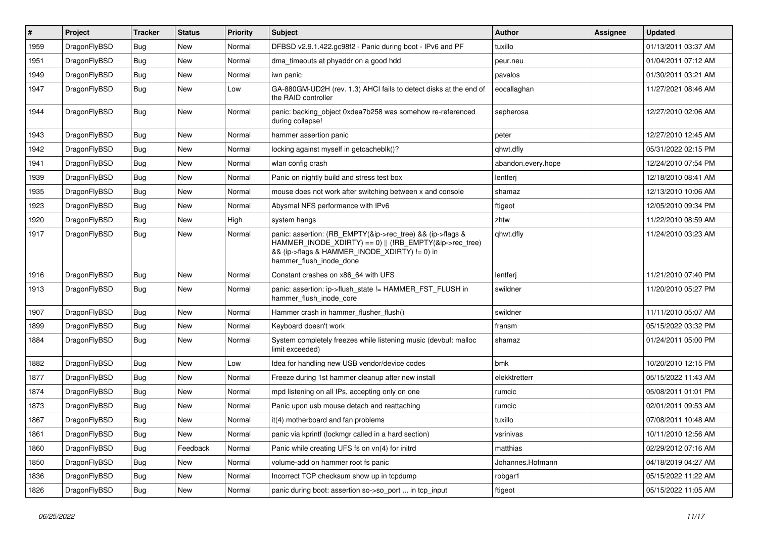| #    | Project      | <b>Tracker</b> | <b>Status</b> | <b>Priority</b> | <b>Subject</b>                                                                                                                                                                                    | Author             | Assignee | <b>Updated</b>      |
|------|--------------|----------------|---------------|-----------------|---------------------------------------------------------------------------------------------------------------------------------------------------------------------------------------------------|--------------------|----------|---------------------|
| 1959 | DragonFlyBSD | Bug            | <b>New</b>    | Normal          | DFBSD v2.9.1.422.gc98f2 - Panic during boot - IPv6 and PF                                                                                                                                         | tuxillo            |          | 01/13/2011 03:37 AM |
| 1951 | DragonFlyBSD | Bug            | <b>New</b>    | Normal          | dma timeouts at phyaddr on a good hdd                                                                                                                                                             | peur.neu           |          | 01/04/2011 07:12 AM |
| 1949 | DragonFlyBSD | <b>Bug</b>     | New           | Normal          | iwn panic                                                                                                                                                                                         | pavalos            |          | 01/30/2011 03:21 AM |
| 1947 | DragonFlyBSD | Bug            | <b>New</b>    | Low             | GA-880GM-UD2H (rev. 1.3) AHCI fails to detect disks at the end of<br>the RAID controller                                                                                                          | eocallaghan        |          | 11/27/2021 08:46 AM |
| 1944 | DragonFlyBSD | <b>Bug</b>     | New           | Normal          | panic: backing object 0xdea7b258 was somehow re-referenced<br>during collapse!                                                                                                                    | sepherosa          |          | 12/27/2010 02:06 AM |
| 1943 | DragonFlyBSD | <b>Bug</b>     | New           | Normal          | hammer assertion panic                                                                                                                                                                            | peter              |          | 12/27/2010 12:45 AM |
| 1942 | DragonFlyBSD | Bug            | <b>New</b>    | Normal          | locking against myself in getcacheblk()?                                                                                                                                                          | qhwt.dfly          |          | 05/31/2022 02:15 PM |
| 1941 | DragonFlyBSD | Bug            | <b>New</b>    | Normal          | wlan config crash                                                                                                                                                                                 | abandon.every.hope |          | 12/24/2010 07:54 PM |
| 1939 | DragonFlyBSD | Bug            | <b>New</b>    | Normal          | Panic on nightly build and stress test box                                                                                                                                                        | lentferj           |          | 12/18/2010 08:41 AM |
| 1935 | DragonFlyBSD | Bug            | <b>New</b>    | Normal          | mouse does not work after switching between x and console                                                                                                                                         | shamaz             |          | 12/13/2010 10:06 AM |
| 1923 | DragonFlyBSD | <b>Bug</b>     | <b>New</b>    | Normal          | Abysmal NFS performance with IPv6                                                                                                                                                                 | ftigeot            |          | 12/05/2010 09:34 PM |
| 1920 | DragonFlyBSD | Bug            | <b>New</b>    | High            | system hangs                                                                                                                                                                                      | zhtw               |          | 11/22/2010 08:59 AM |
| 1917 | DragonFlyBSD | Bug            | New           | Normal          | panic: assertion: (RB_EMPTY(&ip->rec_tree) && (ip->flags &<br>HAMMER_INODE_XDIRTY) == 0)    (!RB_EMPTY(&ip->rec_tree)<br>&& (ip->flags & HAMMER_INODE_XDIRTY) != 0) in<br>hammer_flush_inode_done | qhwt.dfly          |          | 11/24/2010 03:23 AM |
| 1916 | DragonFlyBSD | <b>Bug</b>     | <b>New</b>    | Normal          | Constant crashes on x86_64 with UFS                                                                                                                                                               | lentferj           |          | 11/21/2010 07:40 PM |
| 1913 | DragonFlyBSD | Bug            | New           | Normal          | panic: assertion: ip->flush_state != HAMMER_FST_FLUSH in<br>hammer_flush_inode_core                                                                                                               | swildner           |          | 11/20/2010 05:27 PM |
| 1907 | DragonFlyBSD | <b>Bug</b>     | <b>New</b>    | Normal          | Hammer crash in hammer flusher flush()                                                                                                                                                            | swildner           |          | 11/11/2010 05:07 AM |
| 1899 | DragonFlyBSD | Bug            | <b>New</b>    | Normal          | Keyboard doesn't work                                                                                                                                                                             | fransm             |          | 05/15/2022 03:32 PM |
| 1884 | DragonFlyBSD | Bug            | New           | Normal          | System completely freezes while listening music (devbuf: malloc<br>limit exceeded)                                                                                                                | shamaz             |          | 01/24/2011 05:00 PM |
| 1882 | DragonFlyBSD | Bug            | <b>New</b>    | Low             | Idea for handling new USB vendor/device codes                                                                                                                                                     | bmk                |          | 10/20/2010 12:15 PM |
| 1877 | DragonFlyBSD | <b>Bug</b>     | New           | Normal          | Freeze during 1st hammer cleanup after new install                                                                                                                                                | elekktretterr      |          | 05/15/2022 11:43 AM |
| 1874 | DragonFlyBSD | Bug            | <b>New</b>    | Normal          | mpd listening on all IPs, accepting only on one                                                                                                                                                   | rumcic             |          | 05/08/2011 01:01 PM |
| 1873 | DragonFlyBSD | Bug            | <b>New</b>    | Normal          | Panic upon usb mouse detach and reattaching                                                                                                                                                       | rumcic             |          | 02/01/2011 09:53 AM |
| 1867 | DragonFlyBSD | <b>Bug</b>     | New           | Normal          | it(4) motherboard and fan problems                                                                                                                                                                | tuxillo            |          | 07/08/2011 10:48 AM |
| 1861 | DragonFlyBSD | <b>Bug</b>     | New           | Normal          | panic via kprintf (lockmgr called in a hard section)                                                                                                                                              | vsrinivas          |          | 10/11/2010 12:56 AM |
| 1860 | DragonFlyBSD | <b>Bug</b>     | Feedback      | Normal          | Panic while creating UFS fs on vn(4) for initrd                                                                                                                                                   | matthias           |          | 02/29/2012 07:16 AM |
| 1850 | DragonFlyBSD | <b>Bug</b>     | New           | Normal          | volume-add on hammer root fs panic                                                                                                                                                                | Johannes.Hofmann   |          | 04/18/2019 04:27 AM |
| 1836 | DragonFlyBSD | <b>Bug</b>     | New           | Normal          | Incorrect TCP checksum show up in tcpdump                                                                                                                                                         | robgar1            |          | 05/15/2022 11:22 AM |
| 1826 | DragonFlyBSD | Bug            | New           | Normal          | panic during boot: assertion so->so_port  in tcp_input                                                                                                                                            | ftigeot            |          | 05/15/2022 11:05 AM |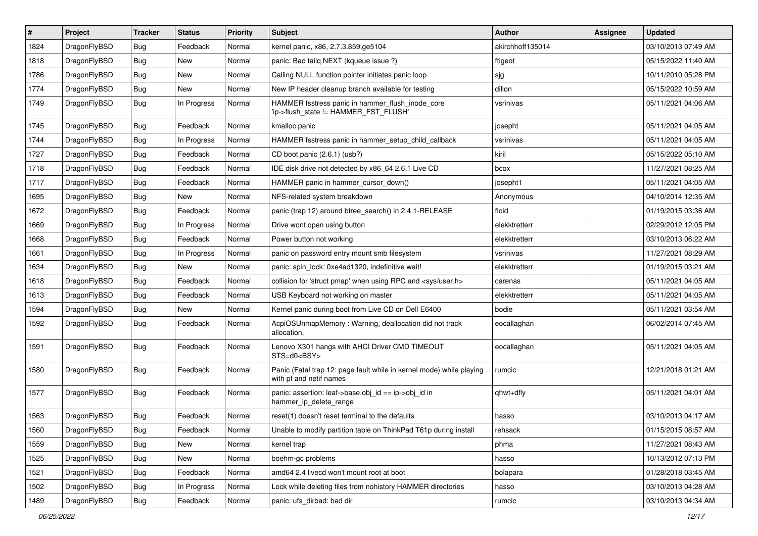| $\#$ | Project      | <b>Tracker</b> | <b>Status</b> | <b>Priority</b> | <b>Subject</b>                                                                                  | <b>Author</b>    | Assignee | <b>Updated</b>      |
|------|--------------|----------------|---------------|-----------------|-------------------------------------------------------------------------------------------------|------------------|----------|---------------------|
| 1824 | DragonFlyBSD | <b>Bug</b>     | Feedback      | Normal          | kernel panic, x86, 2.7.3.859.ge5104                                                             | akirchhoff135014 |          | 03/10/2013 07:49 AM |
| 1818 | DragonFlyBSD | <b>Bug</b>     | New           | Normal          | panic: Bad tailq NEXT (kqueue issue ?)                                                          | ftigeot          |          | 05/15/2022 11:40 AM |
| 1786 | DragonFlyBSD | <b>Bug</b>     | New           | Normal          | Calling NULL function pointer initiates panic loop                                              | sjg              |          | 10/11/2010 05:28 PM |
| 1774 | DragonFlyBSD | Bug            | New           | Normal          | New IP header cleanup branch available for testing                                              | dillon           |          | 05/15/2022 10:59 AM |
| 1749 | DragonFlyBSD | Bug            | In Progress   | Normal          | HAMMER fsstress panic in hammer_flush_inode_core<br>'ip->flush_state != HAMMER_FST_FLUSH'       | vsrinivas        |          | 05/11/2021 04:06 AM |
| 1745 | DragonFlyBSD | Bug            | Feedback      | Normal          | kmalloc panic                                                                                   | josepht          |          | 05/11/2021 04:05 AM |
| 1744 | DragonFlyBSD | Bug            | In Progress   | Normal          | HAMMER fsstress panic in hammer setup child callback                                            | vsrinivas        |          | 05/11/2021 04:05 AM |
| 1727 | DragonFlyBSD | Bug            | Feedback      | Normal          | CD boot panic (2.6.1) (usb?)                                                                    | kiril            |          | 05/15/2022 05:10 AM |
| 1718 | DragonFlyBSD | <b>Bug</b>     | Feedback      | Normal          | IDE disk drive not detected by x86_64 2.6.1 Live CD                                             | bcox             |          | 11/27/2021 08:25 AM |
| 1717 | DragonFlyBSD | <b>Bug</b>     | Feedback      | Normal          | HAMMER panic in hammer cursor down()                                                            | josepht1         |          | 05/11/2021 04:05 AM |
| 1695 | DragonFlyBSD | Bug            | New           | Normal          | NFS-related system breakdown                                                                    | Anonymous        |          | 04/10/2014 12:35 AM |
| 1672 | DragonFlyBSD | Bug            | Feedback      | Normal          | panic (trap 12) around btree_search() in 2.4.1-RELEASE                                          | floid            |          | 01/19/2015 03:36 AM |
| 1669 | DragonFlyBSD | <b>Bug</b>     | In Progress   | Normal          | Drive wont open using button                                                                    | elekktretterr    |          | 02/29/2012 12:05 PM |
| 1668 | DragonFlyBSD | <b>Bug</b>     | Feedback      | Normal          | Power button not working                                                                        | elekktretterr    |          | 03/10/2013 06:22 AM |
| 1661 | DragonFlyBSD | <b>Bug</b>     | In Progress   | Normal          | panic on password entry mount smb filesystem                                                    | vsrinivas        |          | 11/27/2021 08:29 AM |
| 1634 | DragonFlyBSD | Bug            | New           | Normal          | panic: spin lock: 0xe4ad1320, indefinitive wait!                                                | elekktretterr    |          | 01/19/2015 03:21 AM |
| 1618 | DragonFlyBSD | <b>Bug</b>     | Feedback      | Normal          | collision for 'struct pmap' when using RPC and <sys user.h=""></sys>                            | carenas          |          | 05/11/2021 04:05 AM |
| 1613 | DragonFlyBSD | <b>Bug</b>     | Feedback      | Normal          | USB Keyboard not working on master                                                              | elekktretterr    |          | 05/11/2021 04:05 AM |
| 1594 | DragonFlyBSD | <b>Bug</b>     | New           | Normal          | Kernel panic during boot from Live CD on Dell E6400                                             | bodie            |          | 05/11/2021 03:54 AM |
| 1592 | DragonFlyBSD | <b>Bug</b>     | Feedback      | Normal          | AcpiOSUnmapMemory: Warning, deallocation did not track<br>allocation.                           | eocallaghan      |          | 06/02/2014 07:45 AM |
| 1591 | DragonFlyBSD | <b>Bug</b>     | Feedback      | Normal          | Lenovo X301 hangs with AHCI Driver CMD TIMEOUT<br>STS=d0 <bsy></bsy>                            | eocallaghan      |          | 05/11/2021 04:05 AM |
| 1580 | DragonFlyBSD | Bug            | Feedback      | Normal          | Panic (Fatal trap 12: page fault while in kernel mode) while playing<br>with pf and netif names | rumcic           |          | 12/21/2018 01:21 AM |
| 1577 | DragonFlyBSD | Bug            | Feedback      | Normal          | panic: assertion: leaf->base.obj_id == ip->obj_id in<br>hammer_ip_delete_range                  | qhwt+dfly        |          | 05/11/2021 04:01 AM |
| 1563 | DragonFlyBSD | <b>Bug</b>     | Feedback      | Normal          | reset(1) doesn't reset terminal to the defaults                                                 | hasso            |          | 03/10/2013 04:17 AM |
| 1560 | DragonFlyBSD | <b>Bug</b>     | Feedback      | Normal          | Unable to modify partition table on ThinkPad T61p during install                                | rehsack          |          | 01/15/2015 08:57 AM |
| 1559 | DragonFlyBSD | <b>Bug</b>     | New           | Normal          | kernel trap                                                                                     | phma             |          | 11/27/2021 08:43 AM |
| 1525 | DragonFlyBSD | <b>Bug</b>     | New           | Normal          | boehm-gc problems                                                                               | hasso            |          | 10/13/2012 07:13 PM |
| 1521 | DragonFlyBSD | Bug            | Feedback      | Normal          | amd64 2.4 livecd won't mount root at boot                                                       | bolapara         |          | 01/28/2018 03:45 AM |
| 1502 | DragonFlyBSD | <b>Bug</b>     | In Progress   | Normal          | Lock while deleting files from nohistory HAMMER directories                                     | hasso            |          | 03/10/2013 04:28 AM |
| 1489 | DragonFlyBSD | Bug            | Feedback      | Normal          | panic: ufs_dirbad: bad dir                                                                      | rumcic           |          | 03/10/2013 04:34 AM |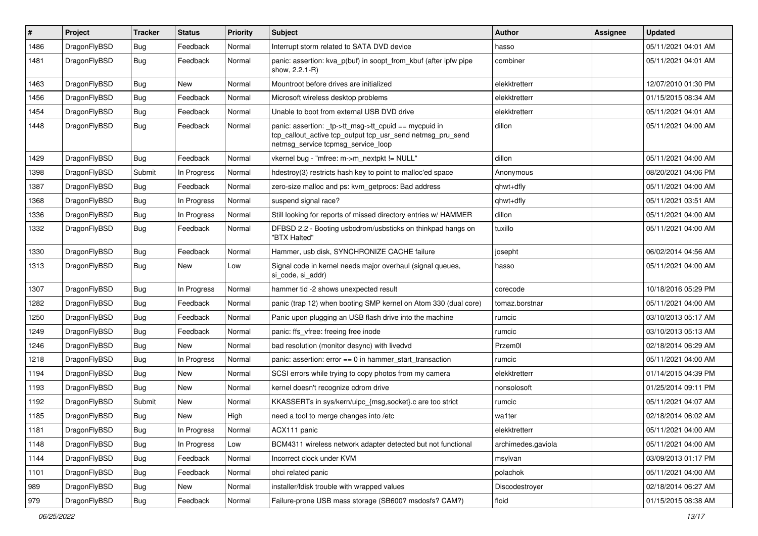| $\sharp$ | Project      | <b>Tracker</b> | <b>Status</b> | <b>Priority</b> | <b>Subject</b>                                                                                                                                            | <b>Author</b>      | Assignee | <b>Updated</b>      |
|----------|--------------|----------------|---------------|-----------------|-----------------------------------------------------------------------------------------------------------------------------------------------------------|--------------------|----------|---------------------|
| 1486     | DragonFlyBSD | <b>Bug</b>     | Feedback      | Normal          | Interrupt storm related to SATA DVD device                                                                                                                | hasso              |          | 05/11/2021 04:01 AM |
| 1481     | DragonFlyBSD | Bug            | Feedback      | Normal          | panic: assertion: kva_p(buf) in soopt_from_kbuf (after ipfw pipe<br>show, 2.2.1-R)                                                                        | combiner           |          | 05/11/2021 04:01 AM |
| 1463     | DragonFlyBSD | Bug            | New           | Normal          | Mountroot before drives are initialized                                                                                                                   | elekktretterr      |          | 12/07/2010 01:30 PM |
| 1456     | DragonFlyBSD | <b>Bug</b>     | Feedback      | Normal          | Microsoft wireless desktop problems                                                                                                                       | elekktretterr      |          | 01/15/2015 08:34 AM |
| 1454     | DragonFlyBSD | <b>Bug</b>     | Feedback      | Normal          | Unable to boot from external USB DVD drive                                                                                                                | elekktretterr      |          | 05/11/2021 04:01 AM |
| 1448     | DragonFlyBSD | <b>Bug</b>     | Feedback      | Normal          | panic: assertion: _tp->tt_msg->tt_cpuid == mycpuid in<br>tcp_callout_active tcp_output tcp_usr_send netmsg_pru_send<br>netmsg_service tcpmsg_service_loop | dillon             |          | 05/11/2021 04:00 AM |
| 1429     | DragonFlyBSD | Bug            | Feedback      | Normal          | vkernel bug - "mfree: m->m_nextpkt != NULL"                                                                                                               | dillon             |          | 05/11/2021 04:00 AM |
| 1398     | DragonFlyBSD | Submit         | In Progress   | Normal          | hdestroy(3) restricts hash key to point to malloc'ed space                                                                                                | Anonymous          |          | 08/20/2021 04:06 PM |
| 1387     | DragonFlyBSD | Bug            | Feedback      | Normal          | zero-size malloc and ps: kvm getprocs: Bad address                                                                                                        | qhwt+dfly          |          | 05/11/2021 04:00 AM |
| 1368     | DragonFlyBSD | <b>Bug</b>     | In Progress   | Normal          | suspend signal race?                                                                                                                                      | qhwt+dfly          |          | 05/11/2021 03:51 AM |
| 1336     | DragonFlyBSD | Bug            | In Progress   | Normal          | Still looking for reports of missed directory entries w/ HAMMER                                                                                           | dillon             |          | 05/11/2021 04:00 AM |
| 1332     | DragonFlyBSD | Bug            | Feedback      | Normal          | DFBSD 2.2 - Booting usbcdrom/usbsticks on thinkpad hangs on<br>"BTX Halted"                                                                               | tuxillo            |          | 05/11/2021 04:00 AM |
| 1330     | DragonFlyBSD | Bug            | Feedback      | Normal          | Hammer, usb disk, SYNCHRONIZE CACHE failure                                                                                                               | josepht            |          | 06/02/2014 04:56 AM |
| 1313     | DragonFlyBSD | Bug            | New           | Low             | Signal code in kernel needs major overhaul (signal queues,<br>si code, si addr)                                                                           | hasso              |          | 05/11/2021 04:00 AM |
| 1307     | DragonFlyBSD | Bug            | In Progress   | Normal          | hammer tid -2 shows unexpected result                                                                                                                     | corecode           |          | 10/18/2016 05:29 PM |
| 1282     | DragonFlyBSD | <b>Bug</b>     | Feedback      | Normal          | panic (trap 12) when booting SMP kernel on Atom 330 (dual core)                                                                                           | tomaz.borstnar     |          | 05/11/2021 04:00 AM |
| 1250     | DragonFlyBSD | <b>Bug</b>     | Feedback      | Normal          | Panic upon plugging an USB flash drive into the machine                                                                                                   | rumcic             |          | 03/10/2013 05:17 AM |
| 1249     | DragonFlyBSD | Bug            | Feedback      | Normal          | panic: ffs_vfree: freeing free inode                                                                                                                      | rumcic             |          | 03/10/2013 05:13 AM |
| 1246     | DragonFlyBSD | Bug            | New           | Normal          | bad resolution (monitor desync) with livedvd                                                                                                              | Przem0l            |          | 02/18/2014 06:29 AM |
| 1218     | DragonFlyBSD | Bug            | In Progress   | Normal          | panic: assertion: error == 0 in hammer_start_transaction                                                                                                  | rumcic             |          | 05/11/2021 04:00 AM |
| 1194     | DragonFlyBSD | Bug            | <b>New</b>    | Normal          | SCSI errors while trying to copy photos from my camera                                                                                                    | elekktretterr      |          | 01/14/2015 04:39 PM |
| 1193     | DragonFlyBSD | Bug            | New           | Normal          | kernel doesn't recognize cdrom drive                                                                                                                      | nonsolosoft        |          | 01/25/2014 09:11 PM |
| 1192     | DragonFlyBSD | Submit         | New           | Normal          | KKASSERTs in sys/kern/uipc_{msg,socket}.c are too strict                                                                                                  | rumcic             |          | 05/11/2021 04:07 AM |
| 1185     | DragonFlyBSD | Bug            | New           | High            | need a tool to merge changes into /etc                                                                                                                    | wa1ter             |          | 02/18/2014 06:02 AM |
| 1181     | DragonFlyBSD | <b>Bug</b>     | In Progress   | Normal          | ACX111 panic                                                                                                                                              | elekktretterr      |          | 05/11/2021 04:00 AM |
| 1148     | DragonFlyBSD | Bug            | In Progress   | Low             | BCM4311 wireless network adapter detected but not functional                                                                                              | archimedes.gaviola |          | 05/11/2021 04:00 AM |
| 1144     | DragonFlyBSD | <b>Bug</b>     | Feedback      | Normal          | Incorrect clock under KVM                                                                                                                                 | msylvan            |          | 03/09/2013 01:17 PM |
| 1101     | DragonFlyBSD | <b>Bug</b>     | Feedback      | Normal          | ohci related panic                                                                                                                                        | polachok           |          | 05/11/2021 04:00 AM |
| 989      | DragonFlyBSD | <b>Bug</b>     | New           | Normal          | installer/fdisk trouble with wrapped values                                                                                                               | Discodestroyer     |          | 02/18/2014 06:27 AM |
| 979      | DragonFlyBSD | Bug            | Feedback      | Normal          | Failure-prone USB mass storage (SB600? msdosfs? CAM?)                                                                                                     | floid              |          | 01/15/2015 08:38 AM |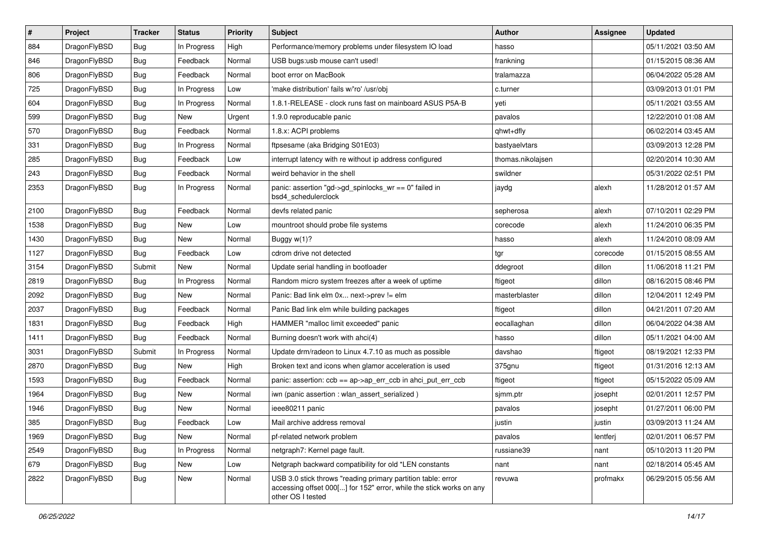| $\pmb{\#}$ | Project      | <b>Tracker</b> | <b>Status</b> | <b>Priority</b> | Subject                                                                                                                                                  | Author            | Assignee | <b>Updated</b>      |
|------------|--------------|----------------|---------------|-----------------|----------------------------------------------------------------------------------------------------------------------------------------------------------|-------------------|----------|---------------------|
| 884        | DragonFlyBSD | Bug            | In Progress   | High            | Performance/memory problems under filesystem IO load                                                                                                     | hasso             |          | 05/11/2021 03:50 AM |
| 846        | DragonFlyBSD | Bug            | Feedback      | Normal          | USB bugs:usb mouse can't used!                                                                                                                           | frankning         |          | 01/15/2015 08:36 AM |
| 806        | DragonFlyBSD | Bug            | Feedback      | Normal          | boot error on MacBook                                                                                                                                    | tralamazza        |          | 06/04/2022 05:28 AM |
| 725        | DragonFlyBSD | Bug            | In Progress   | Low             | 'make distribution' fails w/'ro' /usr/obj                                                                                                                | c.turner          |          | 03/09/2013 01:01 PM |
| 604        | DragonFlyBSD | Bug            | In Progress   | Normal          | 1.8.1-RELEASE - clock runs fast on mainboard ASUS P5A-B                                                                                                  | yeti              |          | 05/11/2021 03:55 AM |
| 599        | DragonFlyBSD | Bug            | New           | Urgent          | 1.9.0 reproducable panic                                                                                                                                 | pavalos           |          | 12/22/2010 01:08 AM |
| 570        | DragonFlyBSD | Bug            | Feedback      | Normal          | 1.8.x: ACPI problems                                                                                                                                     | qhwt+dfly         |          | 06/02/2014 03:45 AM |
| 331        | DragonFlyBSD | Bug            | In Progress   | Normal          | ftpsesame (aka Bridging S01E03)                                                                                                                          | bastyaelvtars     |          | 03/09/2013 12:28 PM |
| 285        | DragonFlyBSD | <b>Bug</b>     | Feedback      | Low             | interrupt latency with re without ip address configured                                                                                                  | thomas.nikolajsen |          | 02/20/2014 10:30 AM |
| 243        | DragonFlyBSD | Bug            | Feedback      | Normal          | weird behavior in the shell                                                                                                                              | swildner          |          | 05/31/2022 02:51 PM |
| 2353       | DragonFlyBSD | Bug            | In Progress   | Normal          | panic: assertion "gd->gd_spinlocks_wr == 0" failed in<br>bsd4_schedulerclock                                                                             | jaydg             | alexh    | 11/28/2012 01:57 AM |
| 2100       | DragonFlyBSD | Bug            | Feedback      | Normal          | devfs related panic                                                                                                                                      | sepherosa         | alexh    | 07/10/2011 02:29 PM |
| 1538       | DragonFlyBSD | Bug            | New           | Low             | mountroot should probe file systems                                                                                                                      | corecode          | alexh    | 11/24/2010 06:35 PM |
| 1430       | DragonFlyBSD | Bug            | <b>New</b>    | Normal          | Buggy w(1)?                                                                                                                                              | hasso             | alexh    | 11/24/2010 08:09 AM |
| 1127       | DragonFlyBSD | Bug            | Feedback      | Low             | cdrom drive not detected                                                                                                                                 | tgr               | corecode | 01/15/2015 08:55 AM |
| 3154       | DragonFlyBSD | Submit         | <b>New</b>    | Normal          | Update serial handling in bootloader                                                                                                                     | ddegroot          | dillon   | 11/06/2018 11:21 PM |
| 2819       | DragonFlyBSD | Bug            | In Progress   | Normal          | Random micro system freezes after a week of uptime                                                                                                       | ftigeot           | dillon   | 08/16/2015 08:46 PM |
| 2092       | DragonFlyBSD | Bug            | New           | Normal          | Panic: Bad link elm 0x next->prev != elm                                                                                                                 | masterblaster     | dillon   | 12/04/2011 12:49 PM |
| 2037       | DragonFlyBSD | Bug            | Feedback      | Normal          | Panic Bad link elm while building packages                                                                                                               | ftigeot           | dillon   | 04/21/2011 07:20 AM |
| 1831       | DragonFlyBSD | Bug            | Feedback      | High            | HAMMER "malloc limit exceeded" panic                                                                                                                     | eocallaghan       | dillon   | 06/04/2022 04:38 AM |
| 1411       | DragonFlyBSD | Bug            | Feedback      | Normal          | Burning doesn't work with ahci(4)                                                                                                                        | hasso             | dillon   | 05/11/2021 04:00 AM |
| 3031       | DragonFlyBSD | Submit         | In Progress   | Normal          | Update drm/radeon to Linux 4.7.10 as much as possible                                                                                                    | davshao           | ftigeot  | 08/19/2021 12:33 PM |
| 2870       | DragonFlyBSD | <b>Bug</b>     | New           | High            | Broken text and icons when glamor acceleration is used                                                                                                   | 375gnu            | ftigeot  | 01/31/2016 12:13 AM |
| 1593       | DragonFlyBSD | Bug            | Feedback      | Normal          | panic: assertion: ccb == ap->ap_err_ccb in ahci_put_err_ccb                                                                                              | ftigeot           | ftigeot  | 05/15/2022 05:09 AM |
| 1964       | DragonFlyBSD | <b>Bug</b>     | New           | Normal          | iwn (panic assertion : wlan_assert_serialized)                                                                                                           | sjmm.ptr          | josepht  | 02/01/2011 12:57 PM |
| 1946       | DragonFlyBSD | <b>Bug</b>     | New           | Normal          | ieee80211 panic                                                                                                                                          | pavalos           | josepht  | 01/27/2011 06:00 PM |
| 385        | DragonFlyBSD | <b>Bug</b>     | Feedback      | Low             | Mail archive address removal                                                                                                                             | justin            | justin   | 03/09/2013 11:24 AM |
| 1969       | DragonFlyBSD | Bug            | New           | Normal          | pf-related network problem                                                                                                                               | pavalos           | lentferj | 02/01/2011 06:57 PM |
| 2549       | DragonFlyBSD | Bug            | In Progress   | Normal          | netgraph7: Kernel page fault.                                                                                                                            | russiane39        | nant     | 05/10/2013 11:20 PM |
| 679        | DragonFlyBSD | <b>Bug</b>     | New           | Low             | Netgraph backward compatibility for old *LEN constants                                                                                                   | nant              | nant     | 02/18/2014 05:45 AM |
| 2822       | DragonFlyBSD | <b>Bug</b>     | New           | Normal          | USB 3.0 stick throws "reading primary partition table: error<br>accessing offset 000[] for 152" error, while the stick works on any<br>other OS I tested | revuwa            | profmakx | 06/29/2015 05:56 AM |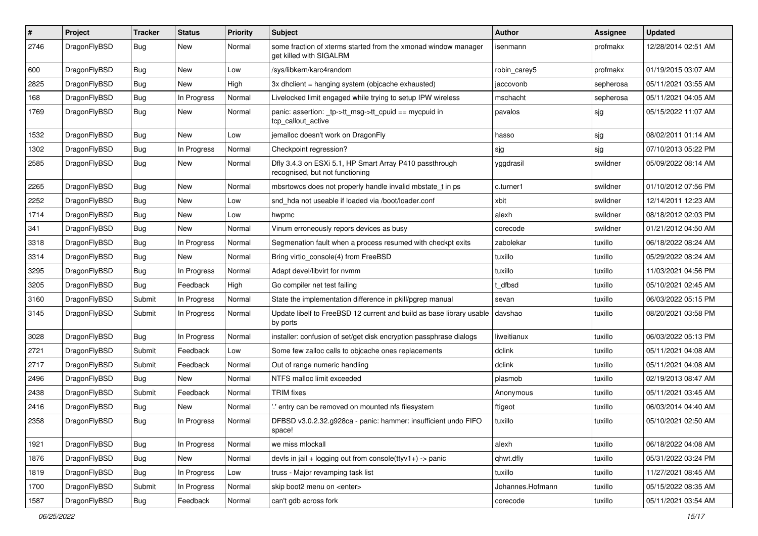| $\sharp$ | Project      | <b>Tracker</b> | <b>Status</b> | <b>Priority</b> | Subject                                                                                    | Author           | <b>Assignee</b> | <b>Updated</b>      |
|----------|--------------|----------------|---------------|-----------------|--------------------------------------------------------------------------------------------|------------------|-----------------|---------------------|
| 2746     | DragonFlyBSD | Bug            | New           | Normal          | some fraction of xterms started from the xmonad window manager<br>get killed with SIGALRM  | isenmann         | profmakx        | 12/28/2014 02:51 AM |
| 600      | DragonFlyBSD | Bug            | New           | Low             | /sys/libkern/karc4random                                                                   | robin carey5     | profmakx        | 01/19/2015 03:07 AM |
| 2825     | DragonFlyBSD | Bug            | New           | High            | 3x dhclient = hanging system (objcache exhausted)                                          | jaccovonb        | sepherosa       | 05/11/2021 03:55 AM |
| 168      | DragonFlyBSD | Bug            | In Progress   | Normal          | Livelocked limit engaged while trying to setup IPW wireless                                | mschacht         | sepherosa       | 05/11/2021 04:05 AM |
| 1769     | DragonFlyBSD | <b>Bug</b>     | New           | Normal          | panic: assertion: _tp->tt_msg->tt_cpuid == mycpuid in<br>tcp_callout_active                | pavalos          | sjg             | 05/15/2022 11:07 AM |
| 1532     | DragonFlyBSD | Bug            | New           | Low             | jemalloc doesn't work on DragonFly                                                         | hasso            | sjg             | 08/02/2011 01:14 AM |
| 1302     | DragonFlyBSD | Bug            | In Progress   | Normal          | Checkpoint regression?                                                                     | sjg              | sjg             | 07/10/2013 05:22 PM |
| 2585     | DragonFlyBSD | Bug            | New           | Normal          | Dfly 3.4.3 on ESXi 5.1, HP Smart Array P410 passthrough<br>recognised, but not functioning | yggdrasil        | swildner        | 05/09/2022 08:14 AM |
| 2265     | DragonFlyBSD | Bug            | New           | Normal          | mbsrtowcs does not properly handle invalid mbstate_t in ps                                 | c.turner1        | swildner        | 01/10/2012 07:56 PM |
| 2252     | DragonFlyBSD | Bug            | New           | Low             | snd hda not useable if loaded via /boot/loader.conf                                        | xbit             | swildner        | 12/14/2011 12:23 AM |
| 1714     | DragonFlyBSD | Bug            | New           | Low             | hwpmc                                                                                      | alexh            | swildner        | 08/18/2012 02:03 PM |
| 341      | DragonFlyBSD | Bug            | New           | Normal          | Vinum erroneously repors devices as busy                                                   | corecode         | swildner        | 01/21/2012 04:50 AM |
| 3318     | DragonFlyBSD | Bug            | In Progress   | Normal          | Segmenation fault when a process resumed with checkpt exits                                | zabolekar        | tuxillo         | 06/18/2022 08:24 AM |
| 3314     | DragonFlyBSD | Bug            | New           | Normal          | Bring virtio console(4) from FreeBSD                                                       | tuxillo          | tuxillo         | 05/29/2022 08:24 AM |
| 3295     | DragonFlyBSD | Bug            | In Progress   | Normal          | Adapt devel/libvirt for nvmm                                                               | tuxillo          | tuxillo         | 11/03/2021 04:56 PM |
| 3205     | DragonFlyBSD | Bug            | Feedback      | High            | Go compiler net test failing                                                               | t dfbsd          | tuxillo         | 05/10/2021 02:45 AM |
| 3160     | DragonFlyBSD | Submit         | In Progress   | Normal          | State the implementation difference in pkill/pgrep manual                                  | sevan            | tuxillo         | 06/03/2022 05:15 PM |
| 3145     | DragonFlyBSD | Submit         | In Progress   | Normal          | Update libelf to FreeBSD 12 current and build as base library usable<br>by ports           | davshao          | tuxillo         | 08/20/2021 03:58 PM |
| 3028     | DragonFlyBSD | Bug            | In Progress   | Normal          | installer: confusion of set/get disk encryption passphrase dialogs                         | liweitianux      | tuxillo         | 06/03/2022 05:13 PM |
| 2721     | DragonFlyBSD | Submit         | Feedback      | Low             | Some few zalloc calls to objcache ones replacements                                        | dclink           | tuxillo         | 05/11/2021 04:08 AM |
| 2717     | DragonFlyBSD | Submit         | Feedback      | Normal          | Out of range numeric handling                                                              | dclink           | tuxillo         | 05/11/2021 04:08 AM |
| 2496     | DragonFlyBSD | Bug            | New           | Normal          | NTFS malloc limit exceeded                                                                 | plasmob          | tuxillo         | 02/19/2013 08:47 AM |
| 2438     | DragonFlyBSD | Submit         | Feedback      | Normal          | <b>TRIM</b> fixes                                                                          | Anonymous        | tuxillo         | 05/11/2021 03:45 AM |
| 2416     | DragonFlyBSD | Bug            | New           | Normal          | ".' entry can be removed on mounted nfs filesystem                                         | ftigeot          | tuxillo         | 06/03/2014 04:40 AM |
| 2358     | DragonFlyBSD | <b>Bug</b>     | In Progress   | Normal          | DFBSD v3.0.2.32.g928ca - panic: hammer: insufficient undo FIFO<br>space!                   | tuxillo          | tuxillo         | 05/10/2021 02:50 AM |
| 1921     | DragonFlyBSD | <b>Bug</b>     | In Progress   | Normal          | we miss mlockall                                                                           | alexh            | tuxillo         | 06/18/2022 04:08 AM |
| 1876     | DragonFlyBSD | <b>Bug</b>     | New           | Normal          | devfs in jail + logging out from console(ttyv1+) -> panic                                  | qhwt.dfly        | tuxillo         | 05/31/2022 03:24 PM |
| 1819     | DragonFlyBSD | <b>Bug</b>     | In Progress   | Low             | truss - Major revamping task list                                                          | tuxillo          | tuxillo         | 11/27/2021 08:45 AM |
| 1700     | DragonFlyBSD | Submit         | In Progress   | Normal          | skip boot2 menu on <enter></enter>                                                         | Johannes.Hofmann | tuxillo         | 05/15/2022 08:35 AM |
| 1587     | DragonFlyBSD | <b>Bug</b>     | Feedback      | Normal          | can't gdb across fork                                                                      | corecode         | tuxillo         | 05/11/2021 03:54 AM |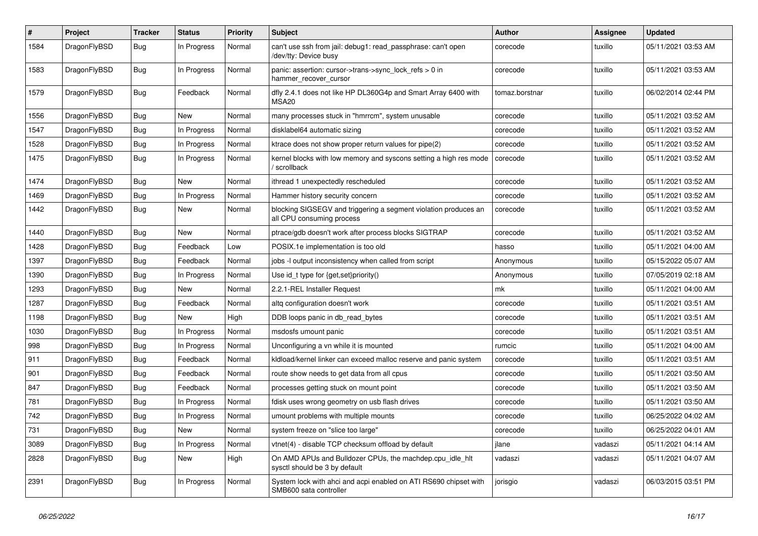| $\sharp$ | Project      | <b>Tracker</b> | <b>Status</b> | <b>Priority</b> | <b>Subject</b>                                                                               | <b>Author</b>  | <b>Assignee</b> | <b>Updated</b>      |
|----------|--------------|----------------|---------------|-----------------|----------------------------------------------------------------------------------------------|----------------|-----------------|---------------------|
| 1584     | DragonFlyBSD | Bug            | In Progress   | Normal          | can't use ssh from jail: debug1: read_passphrase: can't open<br>/dev/tty: Device busy        | corecode       | tuxillo         | 05/11/2021 03:53 AM |
| 1583     | DragonFlyBSD | Bug            | In Progress   | Normal          | panic: assertion: cursor->trans->sync_lock_refs > 0 in<br>hammer_recover_cursor              | corecode       | tuxillo         | 05/11/2021 03:53 AM |
| 1579     | DragonFlyBSD | Bug            | Feedback      | Normal          | dfly 2.4.1 does not like HP DL360G4p and Smart Array 6400 with<br>MSA <sub>20</sub>          | tomaz.borstnar | tuxillo         | 06/02/2014 02:44 PM |
| 1556     | DragonFlyBSD | Bug            | New           | Normal          | many processes stuck in "hmrrcm", system unusable                                            | corecode       | tuxillo         | 05/11/2021 03:52 AM |
| 1547     | DragonFlyBSD | Bug            | In Progress   | Normal          | disklabel64 automatic sizing                                                                 | corecode       | tuxillo         | 05/11/2021 03:52 AM |
| 1528     | DragonFlyBSD | Bug            | In Progress   | Normal          | ktrace does not show proper return values for pipe(2)                                        | corecode       | tuxillo         | 05/11/2021 03:52 AM |
| 1475     | DragonFlyBSD | <b>Bug</b>     | In Progress   | Normal          | kernel blocks with low memory and syscons setting a high res mode<br>/ scrollback            | corecode       | tuxillo         | 05/11/2021 03:52 AM |
| 1474     | DragonFlyBSD | Bug            | New           | Normal          | ithread 1 unexpectedly rescheduled                                                           | corecode       | tuxillo         | 05/11/2021 03:52 AM |
| 1469     | DragonFlyBSD | Bug            | In Progress   | Normal          | Hammer history security concern                                                              | corecode       | tuxillo         | 05/11/2021 03:52 AM |
| 1442     | DragonFlyBSD | Bug            | <b>New</b>    | Normal          | blocking SIGSEGV and triggering a segment violation produces an<br>all CPU consuming process | corecode       | tuxillo         | 05/11/2021 03:52 AM |
| 1440     | DragonFlyBSD | Bug            | New           | Normal          | ptrace/gdb doesn't work after process blocks SIGTRAP                                         | corecode       | tuxillo         | 05/11/2021 03:52 AM |
| 1428     | DragonFlyBSD | Bug            | Feedback      | Low             | POSIX.1e implementation is too old                                                           | hasso          | tuxillo         | 05/11/2021 04:00 AM |
| 1397     | DragonFlyBSD | Bug            | Feedback      | Normal          | jobs -I output inconsistency when called from script                                         | Anonymous      | tuxillo         | 05/15/2022 05:07 AM |
| 1390     | DragonFlyBSD | Bug            | In Progress   | Normal          | Use id_t type for {get,set}priority()                                                        | Anonymous      | tuxillo         | 07/05/2019 02:18 AM |
| 1293     | DragonFlyBSD | Bug            | New           | Normal          | 2.2.1-REL Installer Request                                                                  | mk             | tuxillo         | 05/11/2021 04:00 AM |
| 1287     | DragonFlyBSD | Bug            | Feedback      | Normal          | altg configuration doesn't work                                                              | corecode       | tuxillo         | 05/11/2021 03:51 AM |
| 1198     | DragonFlyBSD | Bug            | New           | High            | DDB loops panic in db_read_bytes                                                             | corecode       | tuxillo         | 05/11/2021 03:51 AM |
| 1030     | DragonFlyBSD | Bug            | In Progress   | Normal          | msdosfs umount panic                                                                         | corecode       | tuxillo         | 05/11/2021 03:51 AM |
| 998      | DragonFlyBSD | Bug            | In Progress   | Normal          | Unconfiguring a vn while it is mounted                                                       | rumcic         | tuxillo         | 05/11/2021 04:00 AM |
| 911      | DragonFlyBSD | Bug            | Feedback      | Normal          | kidload/kernel linker can exceed malloc reserve and panic system                             | corecode       | tuxillo         | 05/11/2021 03:51 AM |
| 901      | DragonFlyBSD | Bug            | Feedback      | Normal          | route show needs to get data from all cpus                                                   | corecode       | tuxillo         | 05/11/2021 03:50 AM |
| 847      | DragonFlyBSD | <b>Bug</b>     | Feedback      | Normal          | processes getting stuck on mount point                                                       | corecode       | tuxillo         | 05/11/2021 03:50 AM |
| 781      | DragonFlyBSD | Bug            | In Progress   | Normal          | fdisk uses wrong geometry on usb flash drives                                                | corecode       | tuxillo         | 05/11/2021 03:50 AM |
| 742      | DragonFlyBSD | Bug            | In Progress   | Normal          | umount problems with multiple mounts                                                         | corecode       | tuxillo         | 06/25/2022 04:02 AM |
| 731      | DragonFlyBSD | <b>Bug</b>     | New           | Normal          | system freeze on "slice too large"                                                           | corecode       | tuxillo         | 06/25/2022 04:01 AM |
| 3089     | DragonFlyBSD | <b>Bug</b>     | In Progress   | Normal          | vtnet(4) - disable TCP checksum offload by default                                           | jlane          | vadaszi         | 05/11/2021 04:14 AM |
| 2828     | DragonFlyBSD | <b>Bug</b>     | New           | High            | On AMD APUs and Bulldozer CPUs, the machdep.cpu idle hlt<br>sysctl should be 3 by default    | vadaszi        | vadaszi         | 05/11/2021 04:07 AM |
| 2391     | DragonFlyBSD | <b>Bug</b>     | In Progress   | Normal          | System lock with ahci and acpi enabled on ATI RS690 chipset with<br>SMB600 sata controller   | jorisgio       | vadaszi         | 06/03/2015 03:51 PM |